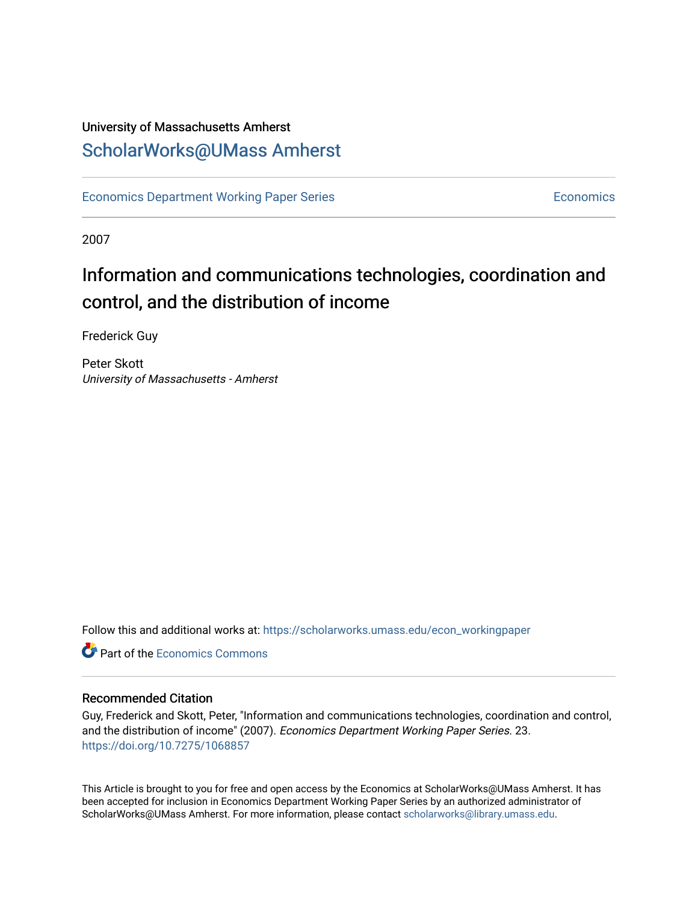## University of Massachusetts Amherst [ScholarWorks@UMass Amherst](https://scholarworks.umass.edu/)

[Economics Department Working Paper Series](https://scholarworks.umass.edu/econ_workingpaper) **Economics** [Economics](https://scholarworks.umass.edu/economics) Economics

2007

## Information and communications technologies, coordination and control, and the distribution of income

Frederick Guy

Peter Skott University of Massachusetts - Amherst

Follow this and additional works at: [https://scholarworks.umass.edu/econ\\_workingpaper](https://scholarworks.umass.edu/econ_workingpaper?utm_source=scholarworks.umass.edu%2Fecon_workingpaper%2F23&utm_medium=PDF&utm_campaign=PDFCoverPages) 

**C** Part of the [Economics Commons](http://network.bepress.com/hgg/discipline/340?utm_source=scholarworks.umass.edu%2Fecon_workingpaper%2F23&utm_medium=PDF&utm_campaign=PDFCoverPages)

#### Recommended Citation

Guy, Frederick and Skott, Peter, "Information and communications technologies, coordination and control, and the distribution of income" (2007). Economics Department Working Paper Series. 23. <https://doi.org/10.7275/1068857>

This Article is brought to you for free and open access by the Economics at ScholarWorks@UMass Amherst. It has been accepted for inclusion in Economics Department Working Paper Series by an authorized administrator of ScholarWorks@UMass Amherst. For more information, please contact [scholarworks@library.umass.edu.](mailto:scholarworks@library.umass.edu)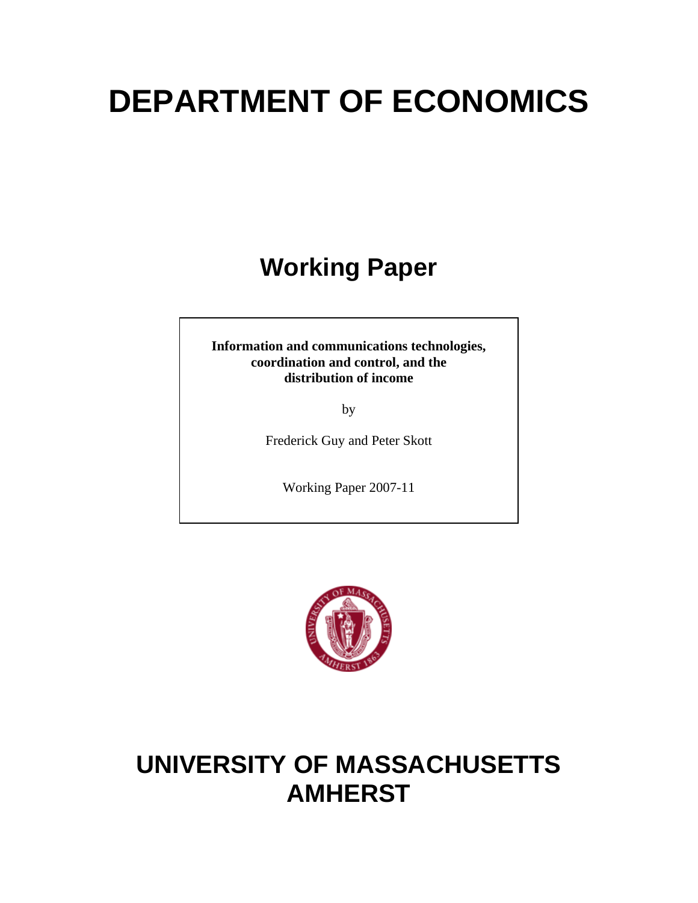# **DEPARTMENT OF ECONOMICS**

## **Working Paper**

**Information and communications technologies, coordination and control, and the distribution of income** 

by

Frederick Guy and Peter Skott

Working Paper 2007-11



## **UNIVERSITY OF MASSACHUSETTS AMHERST**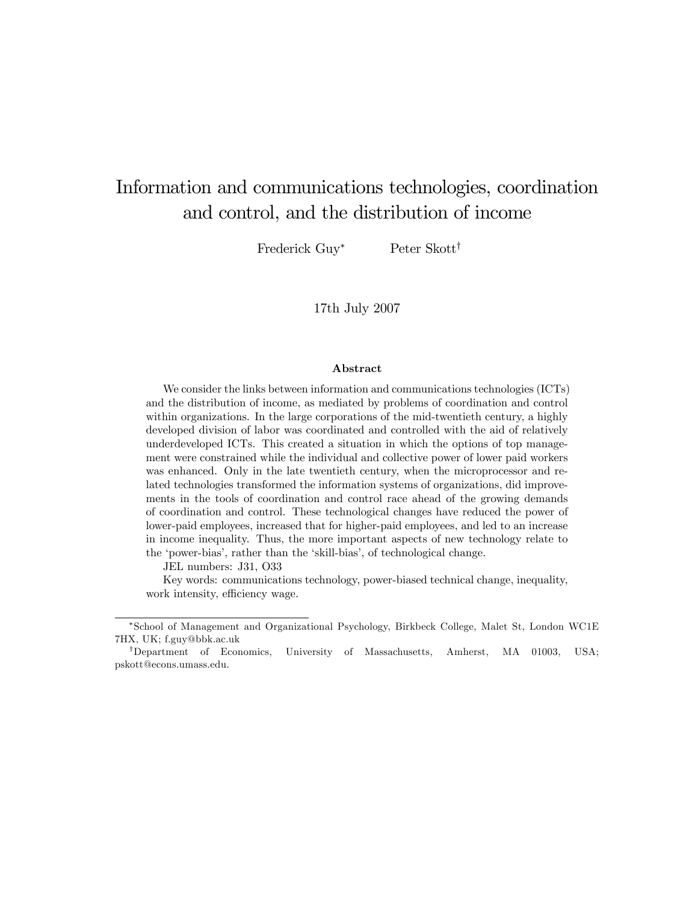## Information and communications technologies, coordination and control, and the distribution of income

Frederick Guy\* Peter Skott<sup>†</sup>

17th July 2007

#### Abstract

We consider the links between information and communications technologies (ICTs) and the distribution of income, as mediated by problems of coordination and control within organizations. In the large corporations of the mid-twentieth century, a highly developed division of labor was coordinated and controlled with the aid of relatively underdeveloped ICTs. This created a situation in which the options of top management were constrained while the individual and collective power of lower paid workers was enhanced. Only in the late twentieth century, when the microprocessor and related technologies transformed the information systems of organizations, did improvements in the tools of coordination and control race ahead of the growing demands of coordination and control. These technological changes have reduced the power of lower-paid employees, increased that for higher-paid employees, and led to an increase in income inequality. Thus, the more important aspects of new technology relate to the 'power-bias', rather than the 'skill-bias', of technological change.

JEL numbers: J31, O33

Key words: communications technology, power-biased technical change, inequality, work intensity, efficiency wage.

<sup>\*</sup>School of Management and Organizational Psychology, Birkbeck College, Malet St, London WC1E 7HX, UK; f.guy@bbk.ac.uk

<sup>&</sup>lt;sup>†</sup>Department of Economics, University of Massachusetts, Amherst, MA 01003, USA; pskott@econs.umass.edu.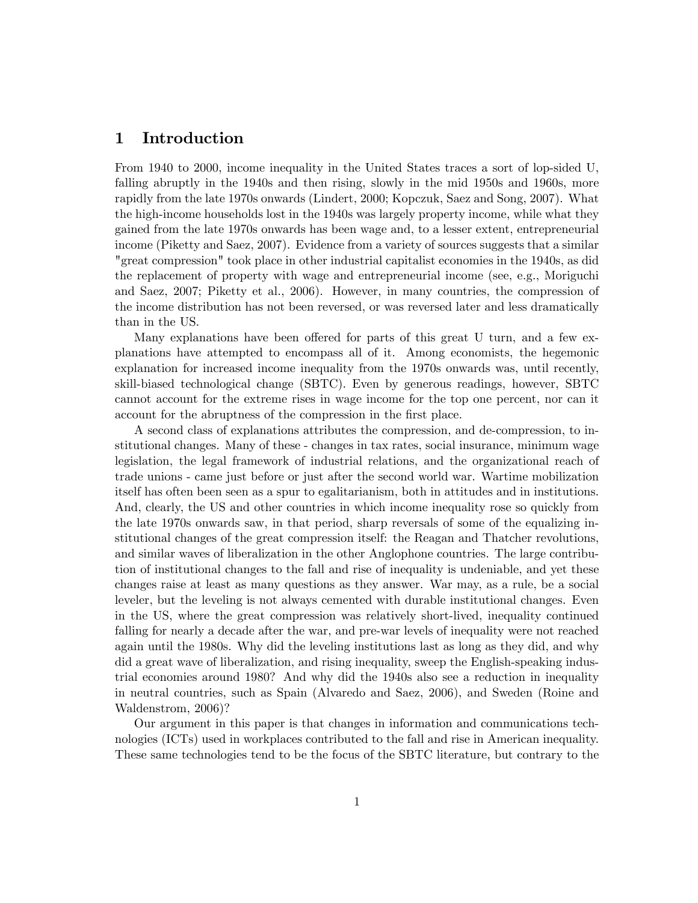## 1 Introduction

From 1940 to 2000, income inequality in the United States traces a sort of lop-sided U, falling abruptly in the 1940s and then rising, slowly in the mid 1950s and 1960s, more rapidly from the late 1970s onwards (Lindert, 2000; Kopczuk, Saez and Song, 2007). What the high-income households lost in the 1940s was largely property income, while what they gained from the late 1970s onwards has been wage and, to a lesser extent, entrepreneurial income (Piketty and Saez, 2007). Evidence from a variety of sources suggests that a similar "great compression" took place in other industrial capitalist economies in the 1940s, as did the replacement of property with wage and entrepreneurial income (see, e.g., Moriguchi and Saez, 2007; Piketty et al., 2006). However, in many countries, the compression of the income distribution has not been reversed, or was reversed later and less dramatically than in the US.

Many explanations have been offered for parts of this great U turn, and a few explanations have attempted to encompass all of it. Among economists, the hegemonic explanation for increased income inequality from the 1970s onwards was, until recently, skill-biased technological change (SBTC). Even by generous readings, however, SBTC cannot account for the extreme rises in wage income for the top one percent, nor can it account for the abruptness of the compression in the first place.

A second class of explanations attributes the compression, and de-compression, to institutional changes. Many of these - changes in tax rates, social insurance, minimum wage legislation, the legal framework of industrial relations, and the organizational reach of trade unions - came just before or just after the second world war. Wartime mobilization itself has often been seen as a spur to egalitarianism, both in attitudes and in institutions. And, clearly, the US and other countries in which income inequality rose so quickly from the late 1970s onwards saw, in that period, sharp reversals of some of the equalizing institutional changes of the great compression itself: the Reagan and Thatcher revolutions, and similar waves of liberalization in the other Anglophone countries. The large contribution of institutional changes to the fall and rise of inequality is undeniable, and yet these changes raise at least as many questions as they answer. War may, as a rule, be a social leveler, but the leveling is not always cemented with durable institutional changes. Even in the US, where the great compression was relatively short-lived, inequality continued falling for nearly a decade after the war, and pre-war levels of inequality were not reached again until the 1980s. Why did the leveling institutions last as long as they did, and why did a great wave of liberalization, and rising inequality, sweep the English-speaking industrial economies around 1980? And why did the 1940s also see a reduction in inequality in neutral countries, such as Spain (Alvaredo and Saez, 2006), and Sweden (Roine and Waldenstrom, 2006)?

Our argument in this paper is that changes in information and communications technologies (ICTs) used in workplaces contributed to the fall and rise in American inequality. These same technologies tend to be the focus of the SBTC literature, but contrary to the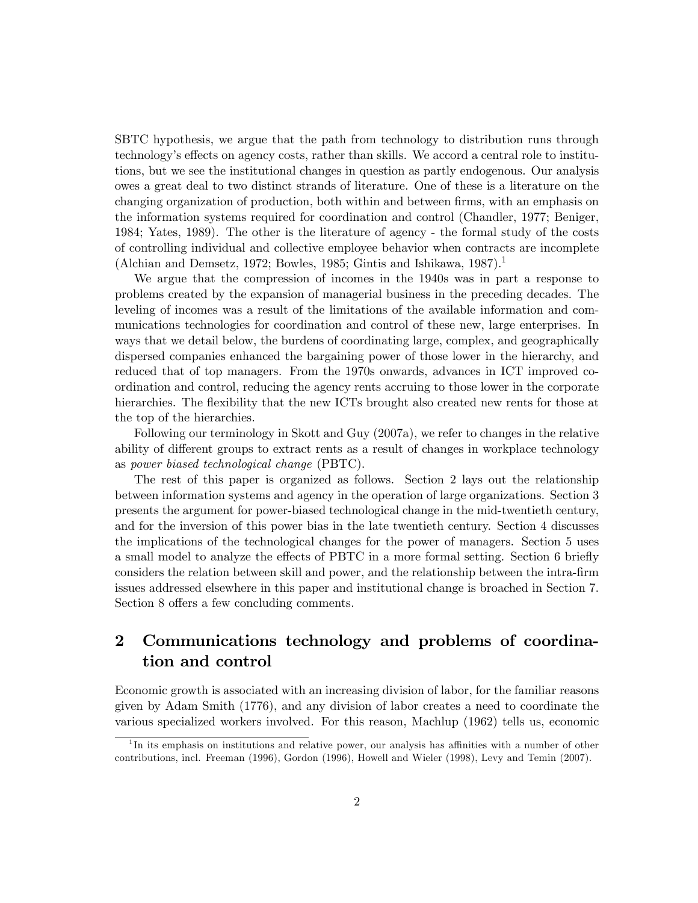SBTC hypothesis, we argue that the path from technology to distribution runs through technology's effects on agency costs, rather than skills. We accord a central role to institutions, but we see the institutional changes in question as partly endogenous. Our analysis owes a great deal to two distinct strands of literature. One of these is a literature on the changing organization of production, both within and between firms, with an emphasis on the information systems required for coordination and control (Chandler, 1977; Beniger, 1984; Yates, 1989). The other is the literature of agency - the formal study of the costs of controlling individual and collective employee behavior when contracts are incomplete (Alchian and Demsetz, 1972; Bowles, 1985; Gintis and Ishikawa, 1987).<sup>1</sup>

We argue that the compression of incomes in the 1940s was in part a response to problems created by the expansion of managerial business in the preceding decades. The leveling of incomes was a result of the limitations of the available information and communications technologies for coordination and control of these new, large enterprises. In ways that we detail below, the burdens of coordinating large, complex, and geographically dispersed companies enhanced the bargaining power of those lower in the hierarchy, and reduced that of top managers. From the 1970s onwards, advances in ICT improved coordination and control, reducing the agency rents accruing to those lower in the corporate hierarchies. The flexibility that the new ICTs brought also created new rents for those at the top of the hierarchies.

Following our terminology in Skott and Guy (2007a), we refer to changes in the relative ability of different groups to extract rents as a result of changes in workplace technology as power biased technological change (PBTC).

The rest of this paper is organized as follows. Section 2 lays out the relationship between information systems and agency in the operation of large organizations. Section 3 presents the argument for power-biased technological change in the mid-twentieth century, and for the inversion of this power bias in the late twentieth century. Section 4 discusses the implications of the technological changes for the power of managers. Section 5 uses a small model to analyze the effects of PBTC in a more formal setting. Section 6 briefly considers the relation between skill and power, and the relationship between the intra-Örm issues addressed elsewhere in this paper and institutional change is broached in Section 7. Section 8 offers a few concluding comments.

## 2 Communications technology and problems of coordination and control

Economic growth is associated with an increasing division of labor, for the familiar reasons given by Adam Smith (1776), and any division of labor creates a need to coordinate the various specialized workers involved. For this reason, Machlup (1962) tells us, economic

<sup>&</sup>lt;sup>1</sup>In its emphasis on institutions and relative power, our analysis has affinities with a number of other contributions, incl. Freeman (1996), Gordon (1996), Howell and Wieler (1998), Levy and Temin (2007).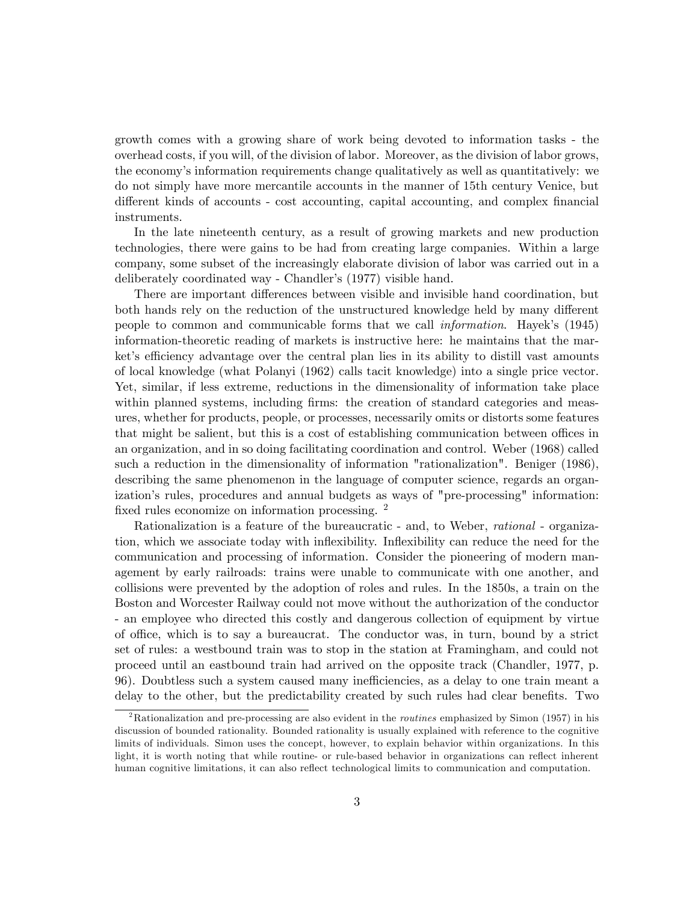growth comes with a growing share of work being devoted to information tasks - the overhead costs, if you will, of the division of labor. Moreover, as the division of labor grows, the economyís information requirements change qualitatively as well as quantitatively: we do not simply have more mercantile accounts in the manner of 15th century Venice, but different kinds of accounts - cost accounting, capital accounting, and complex financial instruments.

In the late nineteenth century, as a result of growing markets and new production technologies, there were gains to be had from creating large companies. Within a large company, some subset of the increasingly elaborate division of labor was carried out in a deliberately coordinated way - Chandler's (1977) visible hand.

There are important differences between visible and invisible hand coordination, but both hands rely on the reduction of the unstructured knowledge held by many different people to common and communicable forms that we call *information*. Hayek's (1945) information-theoretic reading of markets is instructive here: he maintains that the market's efficiency advantage over the central plan lies in its ability to distill vast amounts of local knowledge (what Polanyi (1962) calls tacit knowledge) into a single price vector. Yet, similar, if less extreme, reductions in the dimensionality of information take place within planned systems, including firms: the creation of standard categories and measures, whether for products, people, or processes, necessarily omits or distorts some features that might be salient, but this is a cost of establishing communication between offices in an organization, and in so doing facilitating coordination and control. Weber (1968) called such a reduction in the dimensionality of information "rationalization". Beniger (1986), describing the same phenomenon in the language of computer science, regards an organization's rules, procedures and annual budgets as ways of "pre-processing" information: fixed rules economize on information processing.  $^2$ 

Rationalization is a feature of the bureaucratic - and, to Weber, rational - organization, which we associate today with ináexibility. Ináexibility can reduce the need for the communication and processing of information. Consider the pioneering of modern management by early railroads: trains were unable to communicate with one another, and collisions were prevented by the adoption of roles and rules. In the 1850s, a train on the Boston and Worcester Railway could not move without the authorization of the conductor - an employee who directed this costly and dangerous collection of equipment by virtue of o¢ ce, which is to say a bureaucrat. The conductor was, in turn, bound by a strict set of rules: a westbound train was to stop in the station at Framingham, and could not proceed until an eastbound train had arrived on the opposite track (Chandler, 1977, p. 96). Doubtless such a system caused many inefficiencies, as a delay to one train meant a delay to the other, but the predictability created by such rules had clear benefits. Two

<sup>&</sup>lt;sup>2</sup>Rationalization and pre-processing are also evident in the *routines* emphasized by Simon (1957) in his discussion of bounded rationality. Bounded rationality is usually explained with reference to the cognitive limits of individuals. Simon uses the concept, however, to explain behavior within organizations. In this light, it is worth noting that while routine- or rule-based behavior in organizations can reflect inherent human cognitive limitations, it can also reflect technological limits to communication and computation.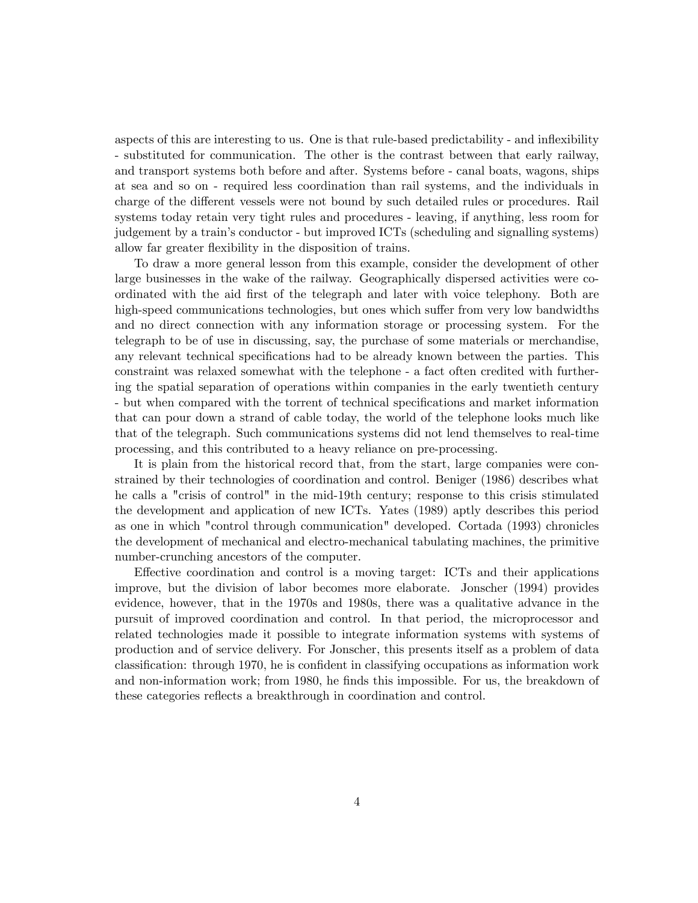aspects of this are interesting to us. One is that rule-based predictability - and ináexibility - substituted for communication. The other is the contrast between that early railway, and transport systems both before and after. Systems before - canal boats, wagons, ships at sea and so on - required less coordination than rail systems, and the individuals in charge of the different vessels were not bound by such detailed rules or procedures. Rail systems today retain very tight rules and procedures - leaving, if anything, less room for judgement by a trainís conductor - but improved ICTs (scheduling and signalling systems) allow far greater flexibility in the disposition of trains.

To draw a more general lesson from this example, consider the development of other large businesses in the wake of the railway. Geographically dispersed activities were coordinated with the aid Örst of the telegraph and later with voice telephony. Both are high-speed communications technologies, but ones which suffer from very low bandwidths and no direct connection with any information storage or processing system. For the telegraph to be of use in discussing, say, the purchase of some materials or merchandise, any relevant technical specifications had to be already known between the parties. This constraint was relaxed somewhat with the telephone - a fact often credited with furthering the spatial separation of operations within companies in the early twentieth century - but when compared with the torrent of technical specifications and market information that can pour down a strand of cable today, the world of the telephone looks much like that of the telegraph. Such communications systems did not lend themselves to real-time processing, and this contributed to a heavy reliance on pre-processing.

It is plain from the historical record that, from the start, large companies were constrained by their technologies of coordination and control. Beniger (1986) describes what he calls a "crisis of control" in the mid-19th century; response to this crisis stimulated the development and application of new ICTs. Yates (1989) aptly describes this period as one in which "control through communication" developed. Cortada (1993) chronicles the development of mechanical and electro-mechanical tabulating machines, the primitive number-crunching ancestors of the computer.

Effective coordination and control is a moving target: ICTs and their applications improve, but the division of labor becomes more elaborate. Jonscher (1994) provides evidence, however, that in the 1970s and 1980s, there was a qualitative advance in the pursuit of improved coordination and control. In that period, the microprocessor and related technologies made it possible to integrate information systems with systems of production and of service delivery. For Jonscher, this presents itself as a problem of data classification: through 1970, he is confident in classifying occupations as information work and non-information work; from 1980, he finds this impossible. For us, the breakdown of these categories reflects a breakthrough in coordination and control.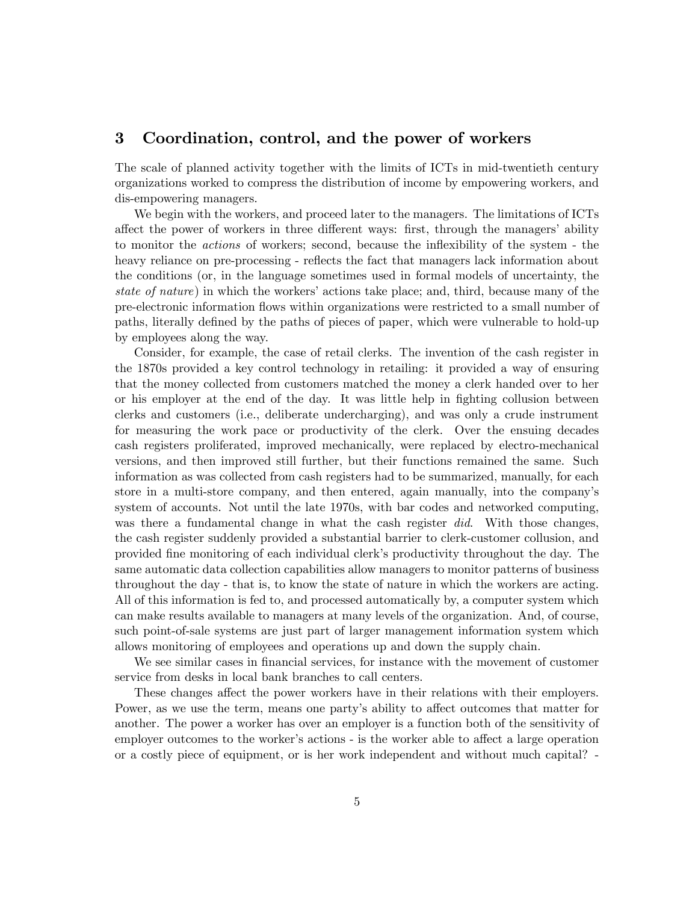### 3 Coordination, control, and the power of workers

The scale of planned activity together with the limits of ICTs in mid-twentieth century organizations worked to compress the distribution of income by empowering workers, and dis-empowering managers.

We begin with the workers, and proceed later to the managers. The limitations of ICTs affect the power of workers in three different ways: first, through the managers' ability to monitor the *actions* of workers; second, because the inflexibility of the system - the heavy reliance on pre-processing - reflects the fact that managers lack information about the conditions (or, in the language sometimes used in formal models of uncertainty, the state of nature) in which the workers' actions take place; and, third, because many of the pre-electronic information áows within organizations were restricted to a small number of paths, literally defined by the paths of pieces of paper, which were vulnerable to hold-up by employees along the way.

Consider, for example, the case of retail clerks. The invention of the cash register in the 1870s provided a key control technology in retailing: it provided a way of ensuring that the money collected from customers matched the money a clerk handed over to her or his employer at the end of the day. It was little help in fighting collusion between clerks and customers (i.e., deliberate undercharging), and was only a crude instrument for measuring the work pace or productivity of the clerk. Over the ensuing decades cash registers proliferated, improved mechanically, were replaced by electro-mechanical versions, and then improved still further, but their functions remained the same. Such information as was collected from cash registers had to be summarized, manually, for each store in a multi-store company, and then entered, again manually, into the companyís system of accounts. Not until the late 1970s, with bar codes and networked computing, was there a fundamental change in what the cash register did. With those changes, the cash register suddenly provided a substantial barrier to clerk-customer collusion, and provided Öne monitoring of each individual clerkís productivity throughout the day. The same automatic data collection capabilities allow managers to monitor patterns of business throughout the day - that is, to know the state of nature in which the workers are acting. All of this information is fed to, and processed automatically by, a computer system which can make results available to managers at many levels of the organization. And, of course, such point-of-sale systems are just part of larger management information system which allows monitoring of employees and operations up and down the supply chain.

We see similar cases in financial services, for instance with the movement of customer service from desks in local bank branches to call centers.

These changes affect the power workers have in their relations with their employers. Power, as we use the term, means one party's ability to affect outcomes that matter for another. The power a worker has over an employer is a function both of the sensitivity of employer outcomes to the worker's actions - is the worker able to affect a large operation or a costly piece of equipment, or is her work independent and without much capital? -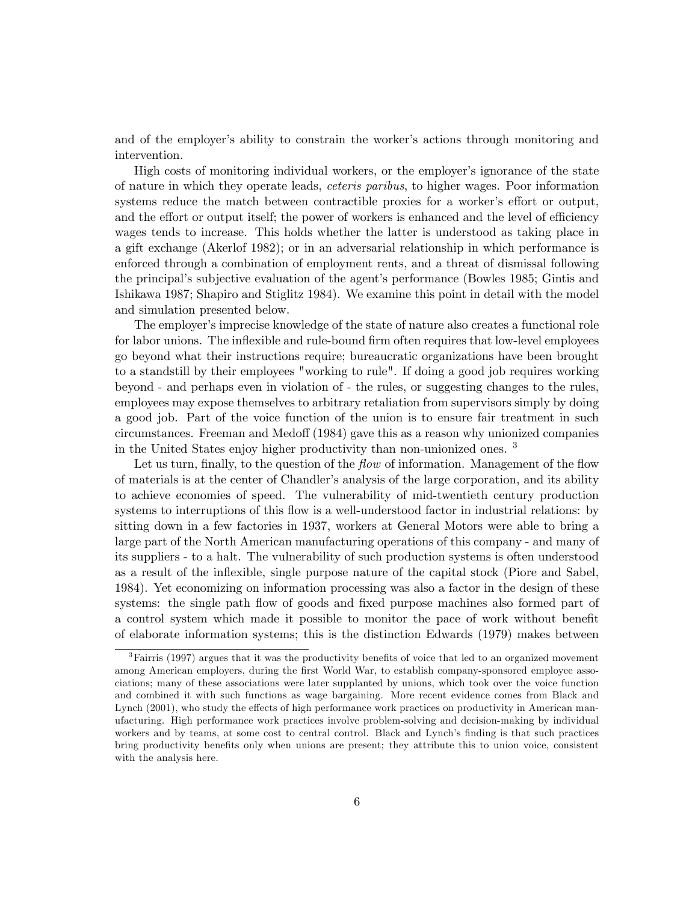and of the employer's ability to constrain the worker's actions through monitoring and intervention.

High costs of monitoring individual workers, or the employer's ignorance of the state of nature in which they operate leads, ceteris paribus, to higher wages. Poor information systems reduce the match between contractible proxies for a worker's effort or output, and the effort or output itself; the power of workers is enhanced and the level of efficiency wages tends to increase. This holds whether the latter is understood as taking place in a gift exchange (Akerlof 1982); or in an adversarial relationship in which performance is enforced through a combination of employment rents, and a threat of dismissal following the principal's subjective evaluation of the agent's performance (Bowles 1985; Gintis and Ishikawa 1987; Shapiro and Stiglitz 1984). We examine this point in detail with the model and simulation presented below.

The employer's imprecise knowledge of the state of nature also creates a functional role for labor unions. The inflexible and rule-bound firm often requires that low-level employees go beyond what their instructions require; bureaucratic organizations have been brought to a standstill by their employees "working to rule". If doing a good job requires working beyond - and perhaps even in violation of - the rules, or suggesting changes to the rules, employees may expose themselves to arbitrary retaliation from supervisors simply by doing a good job. Part of the voice function of the union is to ensure fair treatment in such circumstances. Freeman and Medoff (1984) gave this as a reason why unionized companies in the United States enjoy higher productivity than non-unionized ones. <sup>3</sup>

Let us turn, finally, to the question of the *flow* of information. Management of the flow of materials is at the center of Chandler's analysis of the large corporation, and its ability to achieve economies of speed. The vulnerability of mid-twentieth century production systems to interruptions of this flow is a well-understood factor in industrial relations: by sitting down in a few factories in 1937, workers at General Motors were able to bring a large part of the North American manufacturing operations of this company - and many of its suppliers - to a halt. The vulnerability of such production systems is often understood as a result of the ináexible, single purpose nature of the capital stock (Piore and Sabel, 1984). Yet economizing on information processing was also a factor in the design of these systems: the single path flow of goods and fixed purpose machines also formed part of a control system which made it possible to monitor the pace of work without benefit of elaborate information systems; this is the distinction Edwards (1979) makes between

 ${}^{3}$ Fairris (1997) argues that it was the productivity benefits of voice that led to an organized movement among American employers, during the first World War, to establish company-sponsored employee associations; many of these associations were later supplanted by unions, which took over the voice function and combined it with such functions as wage bargaining. More recent evidence comes from Black and Lynch (2001), who study the effects of high performance work practices on productivity in American manufacturing. High performance work practices involve problem-solving and decision-making by individual workers and by teams, at some cost to central control. Black and Lynch's finding is that such practices bring productivity benefits only when unions are present; they attribute this to union voice, consistent with the analysis here.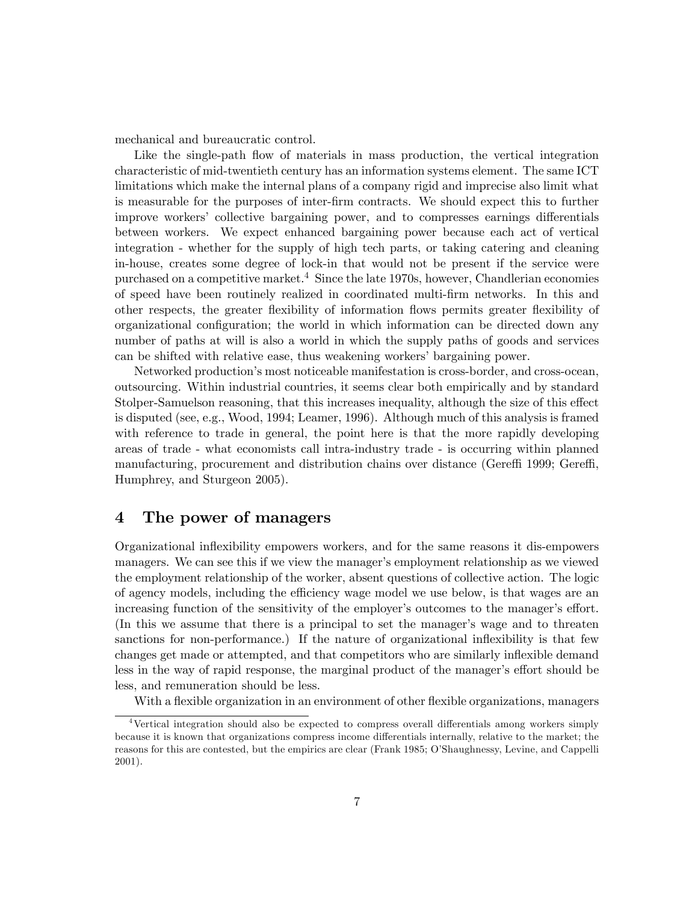mechanical and bureaucratic control.

Like the single-path flow of materials in mass production, the vertical integration characteristic of mid-twentieth century has an information systems element. The same ICT limitations which make the internal plans of a company rigid and imprecise also limit what is measurable for the purposes of inter-Örm contracts. We should expect this to further improve workers' collective bargaining power, and to compresses earnings differentials between workers. We expect enhanced bargaining power because each act of vertical integration - whether for the supply of high tech parts, or taking catering and cleaning in-house, creates some degree of lock-in that would not be present if the service were purchased on a competitive market. $4$  Since the late 1970s, however, Chandlerian economies of speed have been routinely realized in coordinated multi-Örm networks. In this and other respects, the greater áexibility of information áows permits greater áexibility of organizational configuration; the world in which information can be directed down any number of paths at will is also a world in which the supply paths of goods and services can be shifted with relative ease, thus weakening workers' bargaining power.

Networked productionís most noticeable manifestation is cross-border, and cross-ocean, outsourcing. Within industrial countries, it seems clear both empirically and by standard Stolper-Samuelson reasoning, that this increases inequality, although the size of this effect is disputed (see, e.g., Wood, 1994; Leamer, 1996). Although much of this analysis is framed with reference to trade in general, the point here is that the more rapidly developing areas of trade - what economists call intra-industry trade - is occurring within planned manufacturing, procurement and distribution chains over distance (Gereffi 1999; Gereffi, Humphrey, and Sturgeon 2005).

## 4 The power of managers

Organizational ináexibility empowers workers, and for the same reasons it dis-empowers managers. We can see this if we view the manager's employment relationship as we viewed the employment relationship of the worker, absent questions of collective action. The logic of agency models, including the efficiency wage model we use below, is that wages are an increasing function of the sensitivity of the employer's outcomes to the manager's effort. (In this we assume that there is a principal to set the manager's wage and to threaten sanctions for non-performance.) If the nature of organizational inflexibility is that few changes get made or attempted, and that competitors who are similarly inflexible demand less in the way of rapid response, the marginal product of the manager's effort should be less, and remuneration should be less.

With a flexible organization in an environment of other flexible organizations, managers

 $4$ Vertical integration should also be expected to compress overall differentials among workers simply because it is known that organizations compress income differentials internally, relative to the market; the reasons for this are contested, but the empirics are clear (Frank 1985; O'Shaughnessy, Levine, and Cappelli 2001).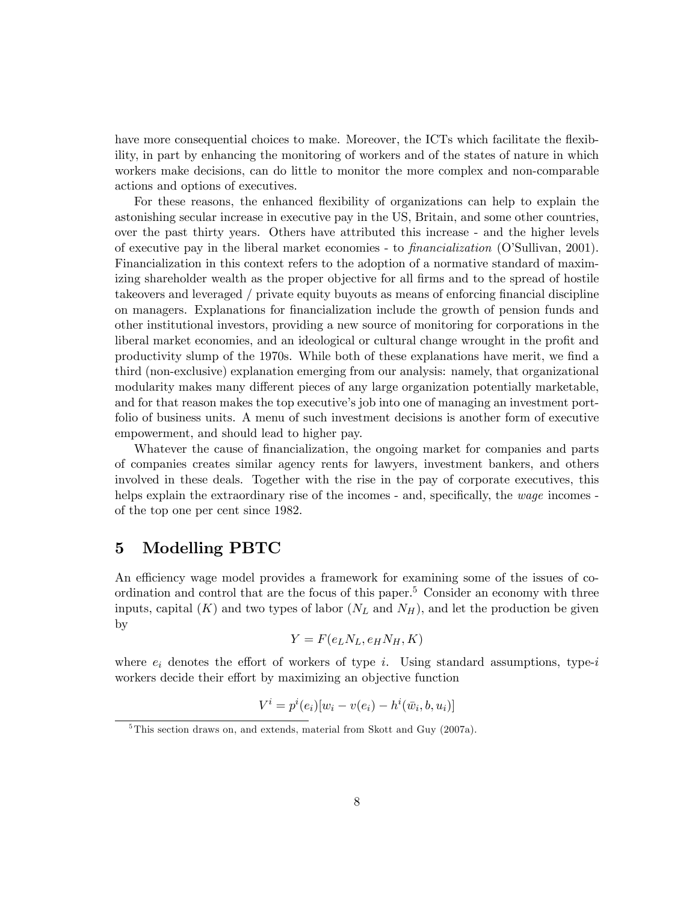have more consequential choices to make. Moreover, the ICTs which facilitate the flexibility, in part by enhancing the monitoring of workers and of the states of nature in which workers make decisions, can do little to monitor the more complex and non-comparable actions and options of executives.

For these reasons, the enhanced flexibility of organizations can help to explain the astonishing secular increase in executive pay in the US, Britain, and some other countries, over the past thirty years. Others have attributed this increase - and the higher levels of executive pay in the liberal market economies - to  $\text{finarcialization}$  (O'Sullivan, 2001). Financialization in this context refers to the adoption of a normative standard of maximizing shareholder wealth as the proper objective for all firms and to the spread of hostile takeovers and leveraged / private equity buyouts as means of enforcing financial discipline on managers. Explanations for Önancialization include the growth of pension funds and other institutional investors, providing a new source of monitoring for corporations in the liberal market economies, and an ideological or cultural change wrought in the profit and productivity slump of the 1970s. While both of these explanations have merit, we find a third (non-exclusive) explanation emerging from our analysis: namely, that organizational modularity makes many different pieces of any large organization potentially marketable, and for that reason makes the top executive's job into one of managing an investment portfolio of business units. A menu of such investment decisions is another form of executive empowerment, and should lead to higher pay.

Whatever the cause of financialization, the ongoing market for companies and parts of companies creates similar agency rents for lawyers, investment bankers, and others involved in these deals. Together with the rise in the pay of corporate executives, this helps explain the extraordinary rise of the incomes - and, specifically, the  $wage$  incomes of the top one per cent since 1982.

## 5 Modelling PBTC

An efficiency wage model provides a framework for examining some of the issues of coordination and control that are the focus of this paper.<sup>5</sup> Consider an economy with three inputs, capital  $(K)$  and two types of labor  $(N_L$  and  $N_H)$ , and let the production be given by

$$
Y = F(e_L N_L, e_H N_H, K)
$$

where  $e_i$  denotes the effort of workers of type i. Using standard assumptions, type-i workers decide their effort by maximizing an objective function

$$
V^{i} = p^{i}(e_{i})[w_{i} - v(e_{i}) - h^{i}(\bar{w}_{i}, b, u_{i})]
$$

<sup>&</sup>lt;sup>5</sup>This section draws on, and extends, material from Skott and Guy (2007a).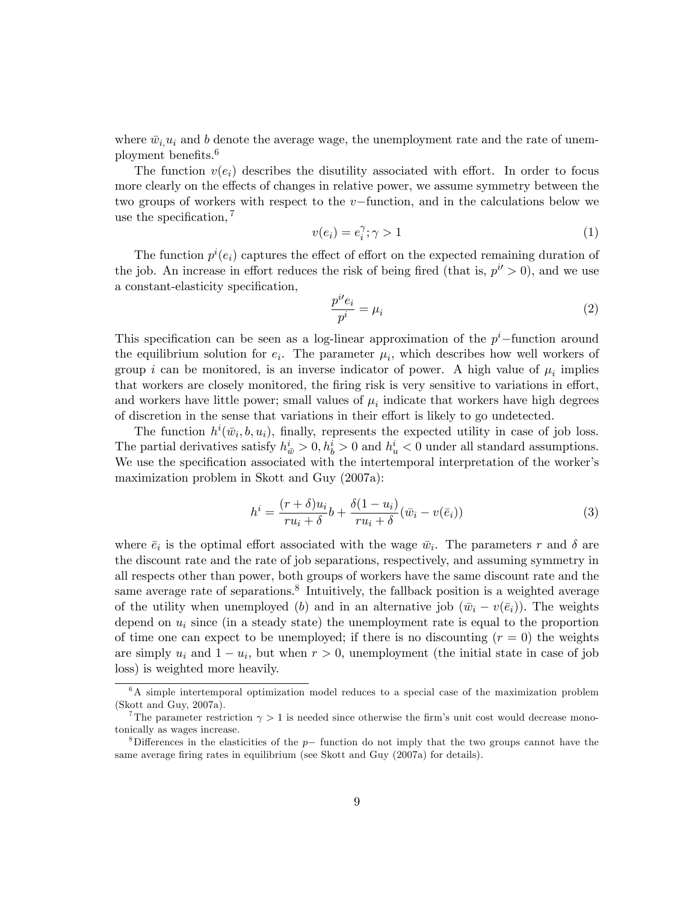where  $\bar{w}_i u_i$  and b denote the average wage, the unemployment rate and the rate of unemployment benefits.<sup>6</sup>

The function  $v(e_i)$  describes the disutility associated with effort. In order to focus more clearly on the effects of changes in relative power, we assume symmetry between the two groups of workers with respect to the  $v$ -function, and in the calculations below we use the specification,  $7$ 

$$
v(e_i) = e_i^{\gamma}; \gamma > 1 \tag{1}
$$

The function  $p^{i}(e_i)$  captures the effect of effort on the expected remaining duration of the job. An increase in effort reduces the risk of being fired (that is,  $p^{i'} > 0$ ), and we use a constant-elasticity specification,

$$
\frac{p^{i}e_i}{p^i} = \mu_i \tag{2}
$$

This specification can be seen as a log-linear approximation of the  $p^i$ -function around the equilibrium solution for  $e_i$ . The parameter  $\mu_i$ , which describes how well workers of group *i* can be monitored, is an inverse indicator of power. A high value of  $\mu_i$  implies that workers are closely monitored, the firing risk is very sensitive to variations in effort, and workers have little power; small values of  $\mu_i$  indicate that workers have high degrees of discretion in the sense that variations in their effort is likely to go undetected.

The function  $h^i(\bar{w}_i, b, u_i)$ , finally, represents the expected utility in case of job loss. The partial derivatives satisfy  $h_{\bar{w}}^i > 0, h_b^i > 0$  and  $h_u^i < 0$  under all standard assumptions. We use the specification associated with the intertemporal interpretation of the worker's maximization problem in Skott and Guy (2007a):

$$
h^{i} = \frac{(r+\delta)u_i}{ru_i+\delta}b + \frac{\delta(1-u_i)}{ru_i+\delta}(\bar{w}_i - v(\bar{e}_i))
$$
\n(3)

where  $\bar{e}_i$  is the optimal effort associated with the wage  $\bar{w}_i$ . The parameters r and  $\delta$  are the discount rate and the rate of job separations, respectively, and assuming symmetry in all respects other than power, both groups of workers have the same discount rate and the same average rate of separations.<sup>8</sup> Intuitively, the fallback position is a weighted average of the utility when unemployed (b) and in an alternative job  $(\bar{w}_i - v(\bar{e}_i))$ . The weights depend on  $u_i$  since (in a steady state) the unemployment rate is equal to the proportion of time one can expect to be unemployed; if there is no discounting  $(r = 0)$  the weights are simply  $u_i$  and  $1 - u_i$ , but when  $r > 0$ , unemployment (the initial state in case of job loss) is weighted more heavily.

<sup>6</sup>A simple intertemporal optimization model reduces to a special case of the maximization problem (Skott and Guy, 2007a).

<sup>&</sup>lt;sup>7</sup>The parameter restriction  $\gamma > 1$  is needed since otherwise the firm's unit cost would decrease monotonically as wages increase.

<sup>&</sup>lt;sup>8</sup>Differences in the elasticities of the  $p-$  function do not imply that the two groups cannot have the same average firing rates in equilibrium (see Skott and Guy (2007a) for details).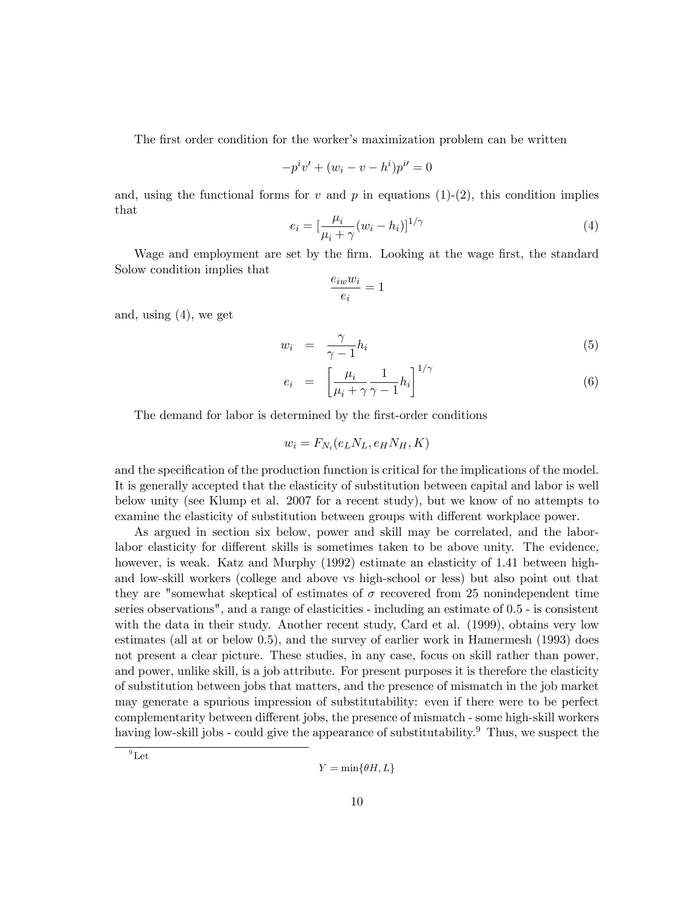The first order condition for the worker's maximization problem can be written

$$
-p^{i}v' + (w_{i} - v - h^{i})p^{i} = 0
$$

and, using the functional forms for v and p in equations (1)-(2), this condition implies that

$$
e_i = \left[\frac{\mu_i}{\mu_i + \gamma}(w_i - h_i)\right]^{1/\gamma} \tag{4}
$$

Wage and employment are set by the firm. Looking at the wage first, the standard Solow condition implies that

$$
\frac{e_{iw}w_i}{e_i} = 1
$$

and, using (4), we get

$$
w_i = \frac{\gamma}{\gamma - 1} h_i \tag{5}
$$

$$
e_i = \left[\frac{\mu_i}{\mu_i + \gamma} \frac{1}{\gamma - 1} h_i\right]^{1/\gamma} \tag{6}
$$

The demand for labor is determined by the first-order conditions

$$
w_i = F_{N_i}(e_L N_L, e_H N_H, K)
$$

and the specification of the production function is critical for the implications of the model. It is generally accepted that the elasticity of substitution between capital and labor is well below unity (see Klump et al. 2007 for a recent study), but we know of no attempts to examine the elasticity of substitution between groups with different workplace power.

As argued in section six below, power and skill may be correlated, and the laborlabor elasticity for different skills is sometimes taken to be above unity. The evidence, however, is weak. Katz and Murphy (1992) estimate an elasticity of 1.41 between highand low-skill workers (college and above vs high-school or less) but also point out that they are "somewhat skeptical of estimates of  $\sigma$  recovered from 25 nonindependent time series observations", and a range of elasticities - including an estimate of 0.5 - is consistent with the data in their study. Another recent study, Card et al. (1999), obtains very low estimates (all at or below 0.5), and the survey of earlier work in Hamermesh (1993) does not present a clear picture. These studies, in any case, focus on skill rather than power, and power, unlike skill, is a job attribute. For present purposes it is therefore the elasticity of substitution between jobs that matters, and the presence of mismatch in the job market may generate a spurious impression of substitutability: even if there were to be perfect complementarity between different jobs, the presence of mismatch - some high-skill workers having low-skill jobs - could give the appearance of substitutability.<sup>9</sup> Thus, we suspect the

 $^{9}$ Let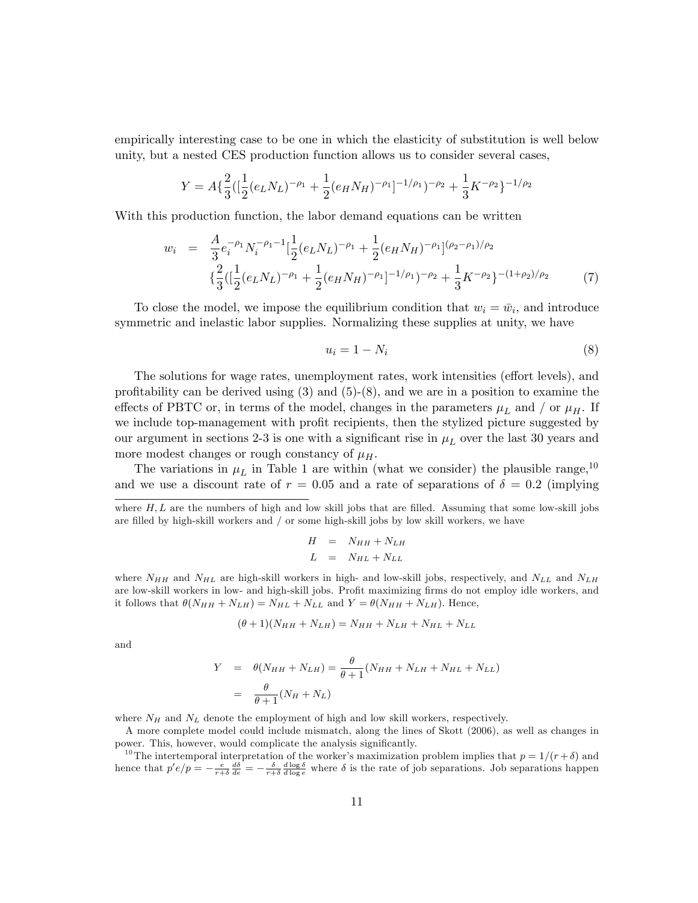empirically interesting case to be one in which the elasticity of substitution is well below unity, but a nested CES production function allows us to consider several cases,

$$
Y = A\{\frac{2}{3}([\frac{1}{2}(e_L N_L)^{-\rho_1} + \frac{1}{2}(e_H N_H)^{-\rho_1}]^{-1/\rho_1})^{-\rho_2} + \frac{1}{3}K^{-\rho_2}\}^{-1/\rho_2}
$$

With this production function, the labor demand equations can be written

$$
w_i = \frac{A}{3} e_i^{-\rho_1} N_i^{-\rho_1 - 1} \left[ \frac{1}{2} (e_L N_L)^{-\rho_1} + \frac{1}{2} (e_H N_H)^{-\rho_1} \right]^{(\rho_2 - \rho_1)/\rho_2}
$$
  

$$
\left\{ \frac{2}{3} \left( \left[ \frac{1}{2} (e_L N_L)^{-\rho_1} + \frac{1}{2} (e_H N_H)^{-\rho_1} \right]^{-1/\rho_1} \right)^{-\rho_2} + \frac{1}{3} K^{-\rho_2} \right\}^{-(1 + \rho_2)/\rho_2}
$$
(7)

To close the model, we impose the equilibrium condition that  $w_i = \bar{w}_i$ , and introduce symmetric and inelastic labor supplies. Normalizing these supplies at unity, we have

$$
u_i = 1 - N_i \tag{8}
$$

The solutions for wage rates, unemployment rates, work intensities (effort levels), and profitability can be derived using  $(3)$  and  $(5)-(8)$ , and we are in a position to examine the effects of PBTC or, in terms of the model, changes in the parameters  $\mu_L$  and / or  $\mu_H$ . If we include top-management with profit recipients, then the stylized picture suggested by our argument in sections 2-3 is one with a significant rise in  $\mu_L$  over the last 30 years and more modest changes or rough constancy of  $\mu_H$ .

The variations in  $\mu_L$  in Table 1 are within (what we consider) the plausible range,<sup>10</sup> and we use a discount rate of  $r = 0.05$  and a rate of separations of  $\delta = 0.2$  (implying

where  $H, L$  are the numbers of high and low skill jobs that are filled. Assuming that some low-skill jobs are filled by high-skill workers and  $/$  or some high-skill jobs by low skill workers, we have

$$
H = N_{HH} + N_{LH}
$$

$$
L = N_{HL} + N_{LL}
$$

where  $N_{HH}$  and  $N_{HL}$  are high-skill workers in high- and low-skill jobs, respectively, and  $N_{LL}$  and  $N_{LH}$ are low-skill workers in low- and high-skill jobs. Profit maximizing firms do not employ idle workers, and it follows that  $\theta(N_{HH} + N_{LH}) = N_{HL} + N_{LL}$  and  $Y = \theta(N_{HH} + N_{LH})$ . Hence,

$$
(\theta + 1)(N_{HH} + N_{LH}) = N_{HH} + N_{LH} + N_{HL} + N_{LL}
$$

and

$$
Y = \theta(N_{HH} + N_{LH}) = \frac{\theta}{\theta + 1}(N_{HH} + N_{LH} + N_{HL} + N_{LL})
$$
  
= 
$$
\frac{\theta}{\theta + 1}(N_H + N_L)
$$

where  $N_H$  and  $N_L$  denote the employment of high and low skill workers, respectively.

A more complete model could include mismatch, along the lines of Skott (2006), as well as changes in power. This, however, would complicate the analysis significantly.

<sup>10</sup>The intertemporal interpretation of the worker's maximization problem implies that  $p = 1/(r + \delta)$  and hence that  $p'e/p = -\frac{e}{r+\delta}\frac{d\delta}{de} = -\frac{\delta}{r+\delta}\frac{d\log\delta}{d\log e}$  where  $\delta$  is the rate of job separations. Job separations happen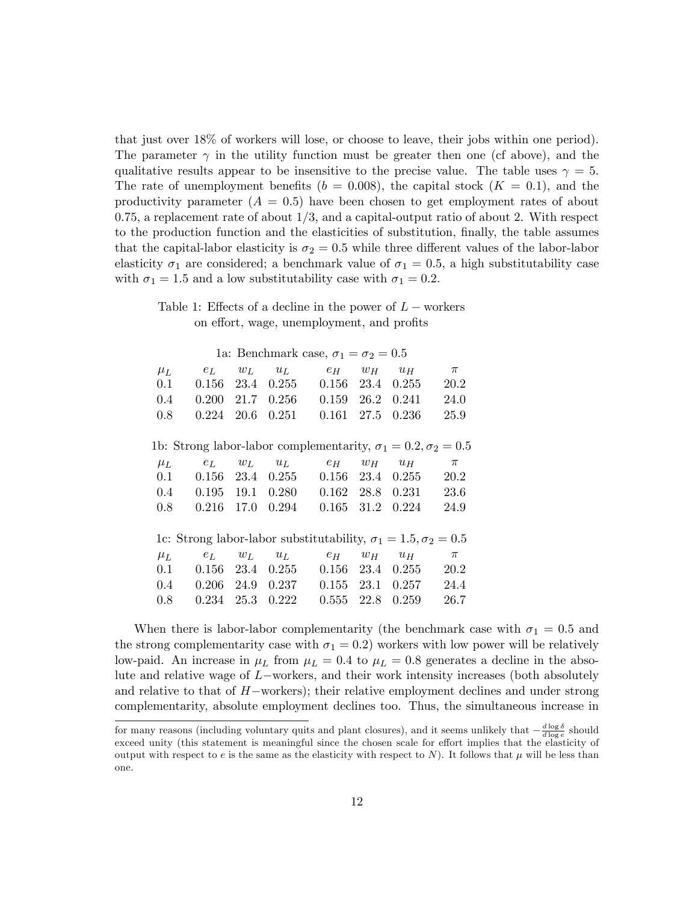that just over 18% of workers will lose, or choose to leave, their jobs within one period). The parameter  $\gamma$  in the utility function must be greater then one (cf above), and the qualitative results appear to be insensitive to the precise value. The table uses  $\gamma = 5$ . The rate of unemployment benefits ( $b = 0.008$ ), the capital stock ( $K = 0.1$ ), and the productivity parameter  $(A = 0.5)$  have been chosen to get employment rates of about  $0.75$ , a replacement rate of about  $1/3$ , and a capital-output ratio of about 2. With respect to the production function and the elasticities of substitution, finally, the table assumes that the capital-labor elasticity is  $\sigma_2 = 0.5$  while three different values of the labor-labor elasticity  $\sigma_1$  are considered; a benchmark value of  $\sigma_1 = 0.5$ , a high substitutability case with  $\sigma_1 = 1.5$  and a low substitutability case with  $\sigma_1 = 0.2$ .

Table 1: Effects of a decline in the power of  $L$  – workers on effort, wage, unemployment, and profits

| 1a: Benchmark case, $\sigma_1 = \sigma_2 = 0.5$                           |              |        |                      |                                           |       |                      |       |
|---------------------------------------------------------------------------|--------------|--------|----------------------|-------------------------------------------|-------|----------------------|-------|
| $\mu_L$                                                                   | $e_L$        | $w_L$  | $u_L$                | $e_H$                                     | $w_H$ | $u_H$                | $\pi$ |
| 0.1                                                                       |              |        | $0.156$ 23.4 $0.255$ | $0.156$ 23.4                              |       | 0.255                | 20.2  |
| 0.4                                                                       |              |        |                      | $0.200$ 21.7 $0.256$ $0.159$ 26.2 $0.241$ |       |                      | 24.0  |
| 0.8                                                                       | 0.224        | 20.6   | 0.251                | 0.161                                     | 27.5  | 0.236                | 25.9  |
|                                                                           |              |        |                      |                                           |       |                      |       |
| 1b: Strong labor-labor complementarity, $\sigma_1 = 0.2, \sigma_2 = 0.5$  |              |        |                      |                                           |       |                      |       |
| $\mu_L$                                                                   | $e_L$        | $w_L$  |                      | $u_L$ $e_H$                               | $w_H$ | $u_H$                | $\pi$ |
| 0.1                                                                       |              |        |                      | $0.156$ 23.4 $0.255$ $0.156$ 23.4 $0.255$ |       |                      | 20.2  |
| 0.4                                                                       |              |        |                      | $0.195$ 19.1 $0.280$ $0.162$ 28.8 $0.231$ |       |                      | 23.6  |
| 0.8                                                                       | $0.216$ 17.0 |        | 0.294                | 0.165                                     | 31.2  | 0.224                | 24.9  |
|                                                                           |              |        |                      |                                           |       |                      |       |
| 1c: Strong labor-labor substitutability, $\sigma_1 = 1.5, \sigma_2 = 0.5$ |              |        |                      |                                           |       |                      |       |
| $\mu_L$                                                                   | $e_L$        |        | $w_L$ $u_L$          | $e_H$ $w_H$                               |       | $u_H$                | $\pi$ |
| 0.1                                                                       |              |        |                      | $0.156$ 23.4 $0.255$ $0.156$ 23.4 $0.255$ |       |                      | 20.2  |
| $0.4\,$                                                                   |              |        | $0.206$ 24.9 $0.237$ |                                           |       | $0.155$ 23.1 $0.257$ | 24.4  |
| 0.8                                                                       | 0.234        | - 25.3 | 0.222                | 0.555                                     | 22.8  | 0.259                | 26.7  |
|                                                                           |              |        |                      |                                           |       |                      |       |

When there is labor-labor complementarity (the benchmark case with  $\sigma_1 = 0.5$  and the strong complementarity case with  $\sigma_1 = 0.2$ ) workers with low power will be relatively low-paid. An increase in  $\mu_L$  from  $\mu_L = 0.4$  to  $\mu_L = 0.8$  generates a decline in the absolute and relative wage of  $L$ -workers, and their work intensity increases (both absolutely and relative to that of  $H$ -workers); their relative employment declines and under strong complementarity, absolute employment declines too. Thus, the simultaneous increase in

for many reasons (including voluntary quits and plant closures), and it seems unlikely that  $-\frac{d \log \delta}{d \log e}$  should exceed unity (this statement is meaningful since the chosen scale for effort implies that the elasticity of output with respect to e is the same as the elasticity with respect to N). It follows that  $\mu$  will be less than one.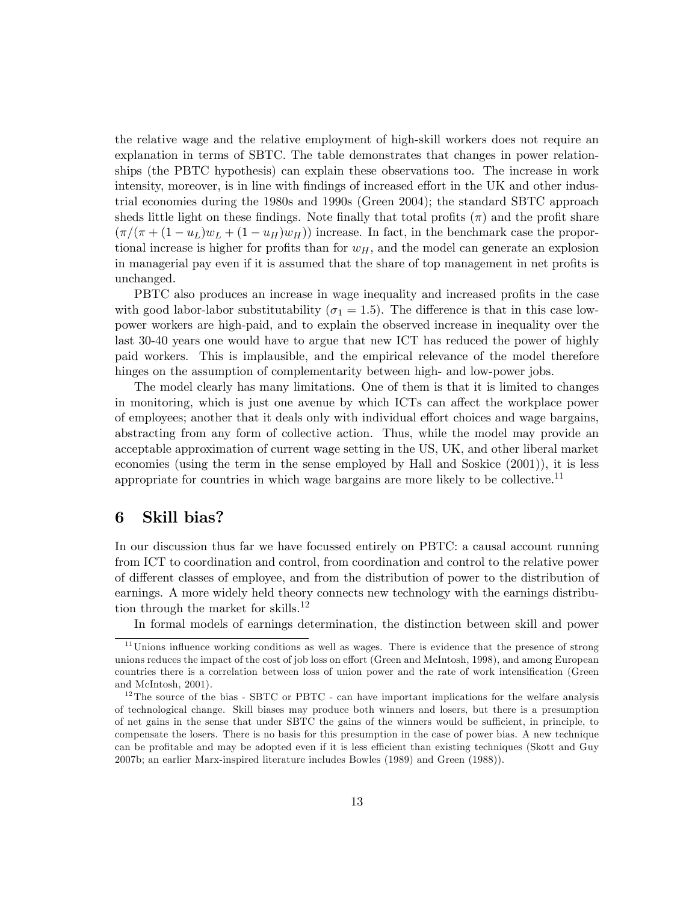the relative wage and the relative employment of high-skill workers does not require an explanation in terms of SBTC. The table demonstrates that changes in power relationships (the PBTC hypothesis) can explain these observations too. The increase in work intensity, moreover, is in line with findings of increased effort in the UK and other industrial economies during the 1980s and 1990s (Green 2004); the standard SBTC approach sheds little light on these findings. Note finally that total profits  $(\pi)$  and the profit share  $(\pi/(\pi + (1 - u_L)w_L + (1 - u_H)w_H))$  increase. In fact, in the benchmark case the proportional increase is higher for profits than for  $w_H$ , and the model can generate an explosion in managerial pay even if it is assumed that the share of top management in net profits is unchanged.

PBTC also produces an increase in wage inequality and increased profits in the case with good labor-labor substitutability ( $\sigma_1 = 1.5$ ). The difference is that in this case lowpower workers are high-paid, and to explain the observed increase in inequality over the last 30-40 years one would have to argue that new ICT has reduced the power of highly paid workers. This is implausible, and the empirical relevance of the model therefore hinges on the assumption of complementarity between high- and low-power jobs.

The model clearly has many limitations. One of them is that it is limited to changes in monitoring, which is just one avenue by which ICTs can affect the workplace power of employees; another that it deals only with individual effort choices and wage bargains, abstracting from any form of collective action. Thus, while the model may provide an acceptable approximation of current wage setting in the US, UK, and other liberal market economies (using the term in the sense employed by Hall and Soskice (2001)), it is less appropriate for countries in which wage bargains are more likely to be collective.<sup>11</sup>

#### 6 Skill bias?

In our discussion thus far we have focussed entirely on PBTC: a causal account running from ICT to coordination and control, from coordination and control to the relative power of different classes of employee, and from the distribution of power to the distribution of earnings. A more widely held theory connects new technology with the earnings distribution through the market for skills.<sup>12</sup>

In formal models of earnings determination, the distinction between skill and power

 $11$  Unions influence working conditions as well as wages. There is evidence that the presence of strong unions reduces the impact of the cost of job loss on effort (Green and McIntosh, 1998), and among European countries there is a correlation between loss of union power and the rate of work intensification (Green and McIntosh, 2001).

 $12$ <sup>12</sup>The source of the bias - SBTC or PBTC - can have important implications for the welfare analysis of technological change. Skill biases may produce both winners and losers, but there is a presumption of net gains in the sense that under SBTC the gains of the winners would be sufficient, in principle, to compensate the losers. There is no basis for this presumption in the case of power bias. A new technique can be profitable and may be adopted even if it is less efficient than existing techniques (Skott and Guy 2007b; an earlier Marx-inspired literature includes Bowles (1989) and Green (1988)).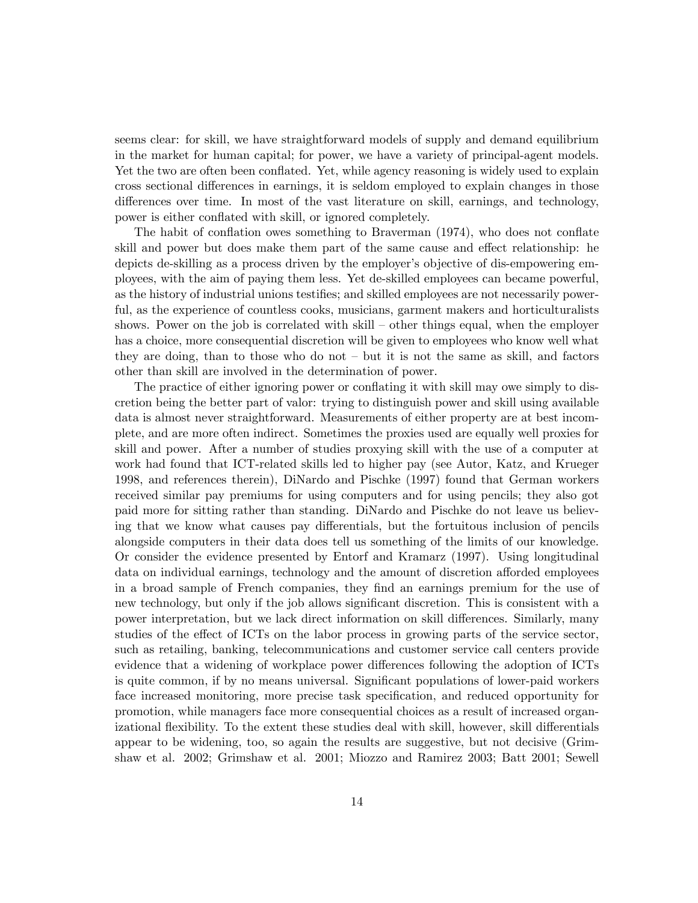seems clear: for skill, we have straightforward models of supply and demand equilibrium in the market for human capital; for power, we have a variety of principal-agent models. Yet the two are often been conflated. Yet, while agency reasoning is widely used to explain cross sectional differences in earnings, it is seldom employed to explain changes in those differences over time. In most of the vast literature on skill, earnings, and technology, power is either conflated with skill, or ignored completely.

The habit of conflation owes something to Braverman (1974), who does not conflate skill and power but does make them part of the same cause and effect relationship: he depicts de-skilling as a process driven by the employer's objective of dis-empowering employees, with the aim of paying them less. Yet de-skilled employees can became powerful, as the history of industrial unions testifies; and skilled employees are not necessarily powerful, as the experience of countless cooks, musicians, garment makers and horticulturalists shows. Power on the job is correlated with  $\text{skill}$  – other things equal, when the employer has a choice, more consequential discretion will be given to employees who know well what they are doing, than to those who do not  $-$  but it is not the same as skill, and factors other than skill are involved in the determination of power.

The practice of either ignoring power or conflating it with skill may owe simply to discretion being the better part of valor: trying to distinguish power and skill using available data is almost never straightforward. Measurements of either property are at best incomplete, and are more often indirect. Sometimes the proxies used are equally well proxies for skill and power. After a number of studies proxying skill with the use of a computer at work had found that ICT-related skills led to higher pay (see Autor, Katz, and Krueger 1998, and references therein), DiNardo and Pischke (1997) found that German workers received similar pay premiums for using computers and for using pencils; they also got paid more for sitting rather than standing. DiNardo and Pischke do not leave us believing that we know what causes pay differentials, but the fortuitous inclusion of pencils alongside computers in their data does tell us something of the limits of our knowledge. Or consider the evidence presented by Entorf and Kramarz (1997). Using longitudinal data on individual earnings, technology and the amount of discretion afforded employees in a broad sample of French companies, they find an earnings premium for the use of new technology, but only if the job allows significant discretion. This is consistent with a power interpretation, but we lack direct information on skill differences. Similarly, many studies of the effect of ICTs on the labor process in growing parts of the service sector, such as retailing, banking, telecommunications and customer service call centers provide evidence that a widening of workplace power differences following the adoption of ICTs is quite common, if by no means universal. Significant populations of lower-paid workers face increased monitoring, more precise task specification, and reduced opportunity for promotion, while managers face more consequential choices as a result of increased organizational flexibility. To the extent these studies deal with skill, however, skill differentials appear to be widening, too, so again the results are suggestive, but not decisive (Grimshaw et al. 2002; Grimshaw et al. 2001; Miozzo and Ramirez 2003; Batt 2001; Sewell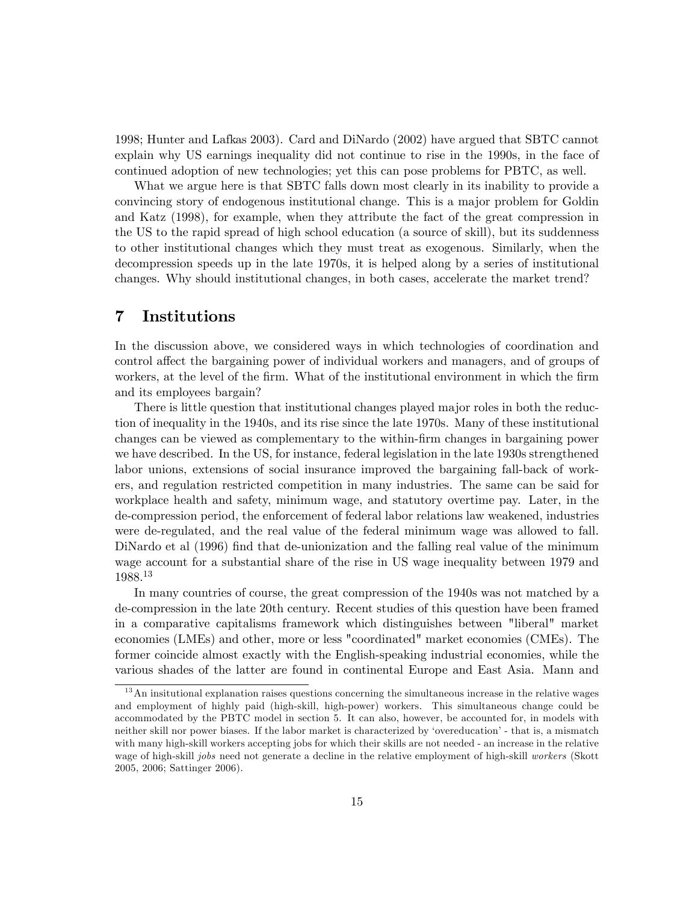1998; Hunter and Lafkas 2003). Card and DiNardo (2002) have argued that SBTC cannot explain why US earnings inequality did not continue to rise in the 1990s, in the face of continued adoption of new technologies; yet this can pose problems for PBTC, as well.

What we argue here is that SBTC falls down most clearly in its inability to provide a convincing story of endogenous institutional change. This is a major problem for Goldin and Katz (1998), for example, when they attribute the fact of the great compression in the US to the rapid spread of high school education (a source of skill), but its suddenness to other institutional changes which they must treat as exogenous. Similarly, when the decompression speeds up in the late 1970s, it is helped along by a series of institutional changes. Why should institutional changes, in both cases, accelerate the market trend?

## 7 Institutions

In the discussion above, we considered ways in which technologies of coordination and control affect the bargaining power of individual workers and managers, and of groups of workers, at the level of the firm. What of the institutional environment in which the firm and its employees bargain?

There is little question that institutional changes played major roles in both the reduction of inequality in the 1940s, and its rise since the late 1970s. Many of these institutional changes can be viewed as complementary to the within-Örm changes in bargaining power we have described. In the US, for instance, federal legislation in the late 1930s strengthened labor unions, extensions of social insurance improved the bargaining fall-back of workers, and regulation restricted competition in many industries. The same can be said for workplace health and safety, minimum wage, and statutory overtime pay. Later, in the de-compression period, the enforcement of federal labor relations law weakened, industries were de-regulated, and the real value of the federal minimum wage was allowed to fall. DiNardo et al (1996) find that de-unionization and the falling real value of the minimum wage account for a substantial share of the rise in US wage inequality between 1979 and 1988.<sup>13</sup>

In many countries of course, the great compression of the 1940s was not matched by a de-compression in the late 20th century. Recent studies of this question have been framed in a comparative capitalisms framework which distinguishes between "liberal" market economies (LMEs) and other, more or less "coordinated" market economies (CMEs). The former coincide almost exactly with the English-speaking industrial economies, while the various shades of the latter are found in continental Europe and East Asia. Mann and

<sup>&</sup>lt;sup>13</sup>An insitutional explanation raises questions concerning the simultaneous increase in the relative wages and employment of highly paid (high-skill, high-power) workers. This simultaneous change could be accommodated by the PBTC model in section 5. It can also, however, be accounted for, in models with neither skill nor power biases. If the labor market is characterized by 'overeducation' - that is, a mismatch with many high-skill workers accepting jobs for which their skills are not needed - an increase in the relative wage of high-skill jobs need not generate a decline in the relative employment of high-skill workers (Skott 2005, 2006; Sattinger 2006).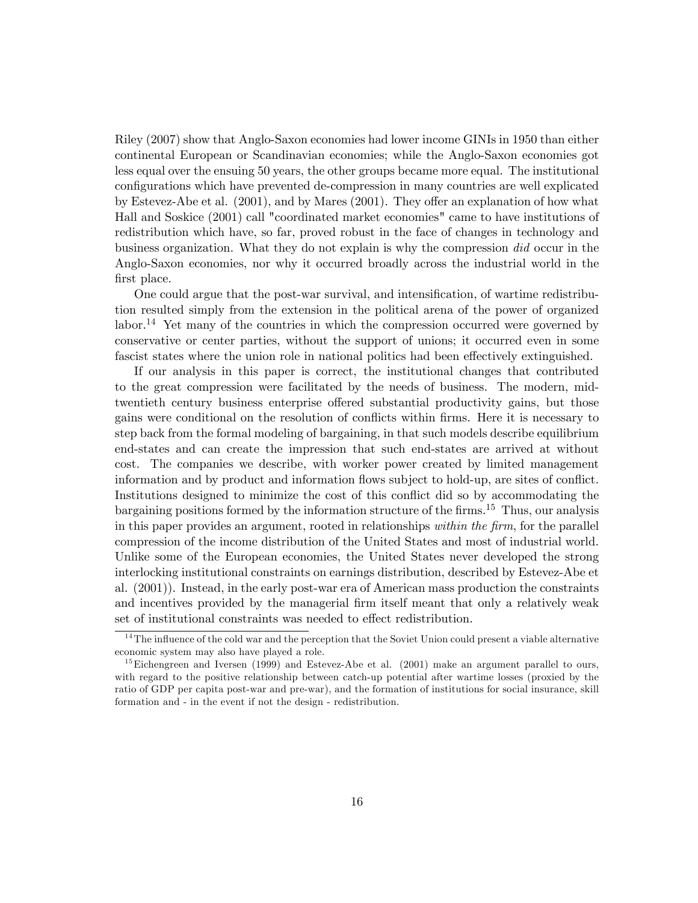Riley (2007) show that Anglo-Saxon economies had lower income GINIs in 1950 than either continental European or Scandinavian economies; while the Anglo-Saxon economies got less equal over the ensuing 50 years, the other groups became more equal. The institutional configurations which have prevented de-compression in many countries are well explicated by Estevez-Abe et al.  $(2001)$ , and by Mares  $(2001)$ . They offer an explanation of how what Hall and Soskice (2001) call "coordinated market economies" came to have institutions of redistribution which have, so far, proved robust in the face of changes in technology and business organization. What they do not explain is why the compression did occur in the Anglo-Saxon economies, nor why it occurred broadly across the industrial world in the first place.

One could argue that the post-war survival, and intensification, of wartime redistribution resulted simply from the extension in the political arena of the power of organized labor.<sup>14</sup> Yet many of the countries in which the compression occurred were governed by conservative or center parties, without the support of unions; it occurred even in some fascist states where the union role in national politics had been effectively extinguished.

If our analysis in this paper is correct, the institutional changes that contributed to the great compression were facilitated by the needs of business. The modern, midtwentieth century business enterprise offered substantial productivity gains, but those gains were conditional on the resolution of conflicts within firms. Here it is necessary to step back from the formal modeling of bargaining, in that such models describe equilibrium end-states and can create the impression that such end-states are arrived at without cost. The companies we describe, with worker power created by limited management information and by product and information flows subject to hold-up, are sites of conflict. Institutions designed to minimize the cost of this conflict did so by accommodating the bargaining positions formed by the information structure of the firms.<sup>15</sup> Thus, our analysis in this paper provides an argument, rooted in relationships within the firm, for the parallel compression of the income distribution of the United States and most of industrial world. Unlike some of the European economies, the United States never developed the strong interlocking institutional constraints on earnings distribution, described by Estevez-Abe et al. (2001)). Instead, in the early post-war era of American mass production the constraints and incentives provided by the managerial firm itself meant that only a relatively weak set of institutional constraints was needed to effect redistribution.

 $14$ <sup>14</sup> The influence of the cold war and the perception that the Soviet Union could present a viable alternative economic system may also have played a role.

 $^{15}$  Eichengreen and Iversen (1999) and Estevez-Abe et al. (2001) make an argument parallel to ours, with regard to the positive relationship between catch-up potential after wartime losses (proxied by the ratio of GDP per capita post-war and pre-war), and the formation of institutions for social insurance, skill formation and - in the event if not the design - redistribution.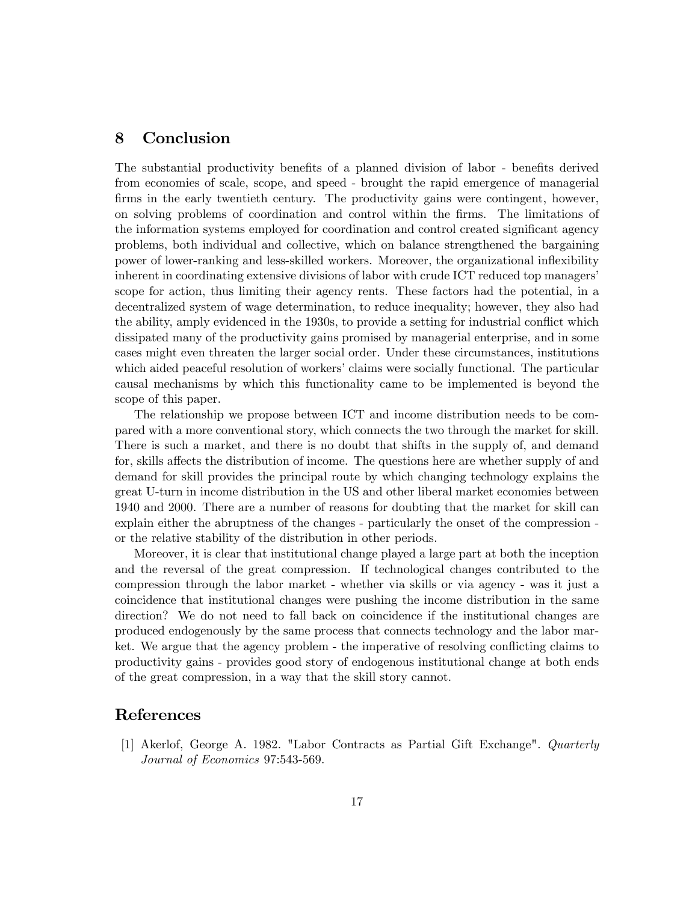## 8 Conclusion

The substantial productivity benefits of a planned division of labor - benefits derived from economies of scale, scope, and speed - brought the rapid emergence of managerial firms in the early twentieth century. The productivity gains were contingent, however, on solving problems of coordination and control within the Örms. The limitations of the information systems employed for coordination and control created significant agency problems, both individual and collective, which on balance strengthened the bargaining power of lower-ranking and less-skilled workers. Moreover, the organizational ináexibility inherent in coordinating extensive divisions of labor with crude ICT reduced top managers' scope for action, thus limiting their agency rents. These factors had the potential, in a decentralized system of wage determination, to reduce inequality; however, they also had the ability, amply evidenced in the 1930s, to provide a setting for industrial conflict which dissipated many of the productivity gains promised by managerial enterprise, and in some cases might even threaten the larger social order. Under these circumstances, institutions which aided peaceful resolution of workers' claims were socially functional. The particular causal mechanisms by which this functionality came to be implemented is beyond the scope of this paper.

The relationship we propose between ICT and income distribution needs to be compared with a more conventional story, which connects the two through the market for skill. There is such a market, and there is no doubt that shifts in the supply of, and demand for, skills affects the distribution of income. The questions here are whether supply of and demand for skill provides the principal route by which changing technology explains the great U-turn in income distribution in the US and other liberal market economies between 1940 and 2000. There are a number of reasons for doubting that the market for skill can explain either the abruptness of the changes - particularly the onset of the compression or the relative stability of the distribution in other periods.

Moreover, it is clear that institutional change played a large part at both the inception and the reversal of the great compression. If technological changes contributed to the compression through the labor market - whether via skills or via agency - was it just a coincidence that institutional changes were pushing the income distribution in the same direction? We do not need to fall back on coincidence if the institutional changes are produced endogenously by the same process that connects technology and the labor market. We argue that the agency problem - the imperative of resolving conflicting claims to productivity gains - provides good story of endogenous institutional change at both ends of the great compression, in a way that the skill story cannot.

## References

[1] Akerlof, George A. 1982. "Labor Contracts as Partial Gift Exchange". Quarterly Journal of Economics 97:543-569.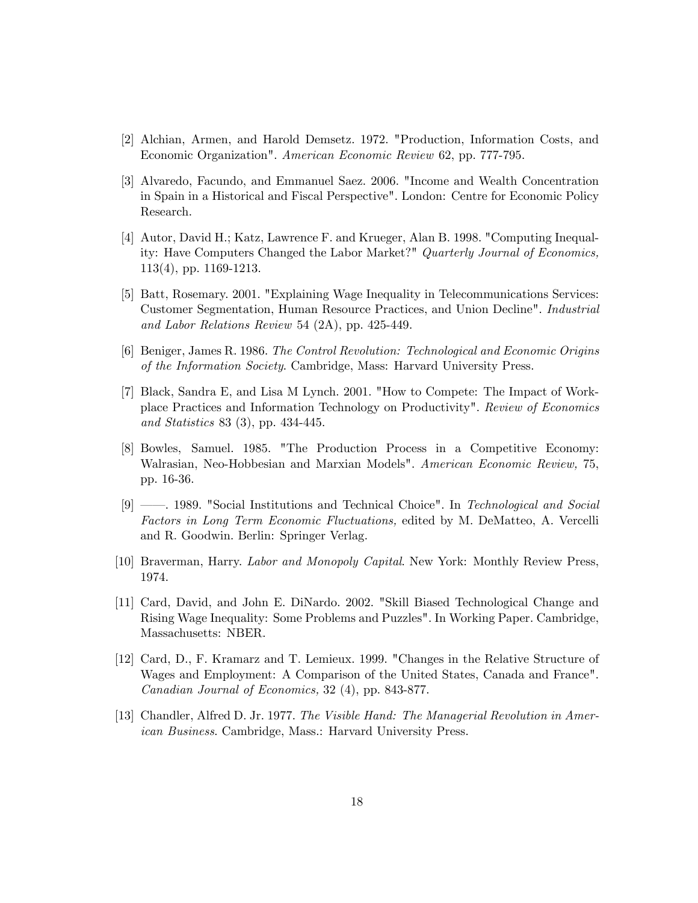- [2] Alchian, Armen, and Harold Demsetz. 1972. "Production, Information Costs, and Economic Organization". American Economic Review 62, pp. 777-795.
- [3] Alvaredo, Facundo, and Emmanuel Saez. 2006. "Income and Wealth Concentration in Spain in a Historical and Fiscal Perspective". London: Centre for Economic Policy Research.
- [4] Autor, David H.; Katz, Lawrence F. and Krueger, Alan B. 1998. "Computing Inequality: Have Computers Changed the Labor Market?" Quarterly Journal of Economics, 113(4), pp. 1169-1213.
- [5] Batt, Rosemary. 2001. "Explaining Wage Inequality in Telecommunications Services: Customer Segmentation, Human Resource Practices, and Union Decline". Industrial and Labor Relations Review 54 (2A), pp. 425-449.
- [6] Beniger, James R. 1986. The Control Revolution: Technological and Economic Origins of the Information Society. Cambridge, Mass: Harvard University Press.
- [7] Black, Sandra E, and Lisa M Lynch. 2001. "How to Compete: The Impact of Workplace Practices and Information Technology on Productivity". Review of Economics and Statistics 83 (3), pp. 434-445.
- [8] Bowles, Samuel. 1985. "The Production Process in a Competitive Economy: Walrasian, Neo-Hobbesian and Marxian Models". American Economic Review, 75, pp. 16-36.
- [9] <sup>*o*</sup> 1989. "Social Institutions and Technical Choice". In Technological and Social Factors in Long Term Economic Fluctuations, edited by M. DeMatteo, A. Vercelli and R. Goodwin. Berlin: Springer Verlag.
- [10] Braverman, Harry. Labor and Monopoly Capital. New York: Monthly Review Press, 1974.
- [11] Card, David, and John E. DiNardo. 2002. "Skill Biased Technological Change and Rising Wage Inequality: Some Problems and Puzzles". In Working Paper. Cambridge, Massachusetts: NBER.
- [12] Card, D., F. Kramarz and T. Lemieux. 1999. "Changes in the Relative Structure of Wages and Employment: A Comparison of the United States, Canada and France". Canadian Journal of Economics, 32 (4), pp. 843-877.
- [13] Chandler, Alfred D. Jr. 1977. The Visible Hand: The Managerial Revolution in American Business. Cambridge, Mass.: Harvard University Press.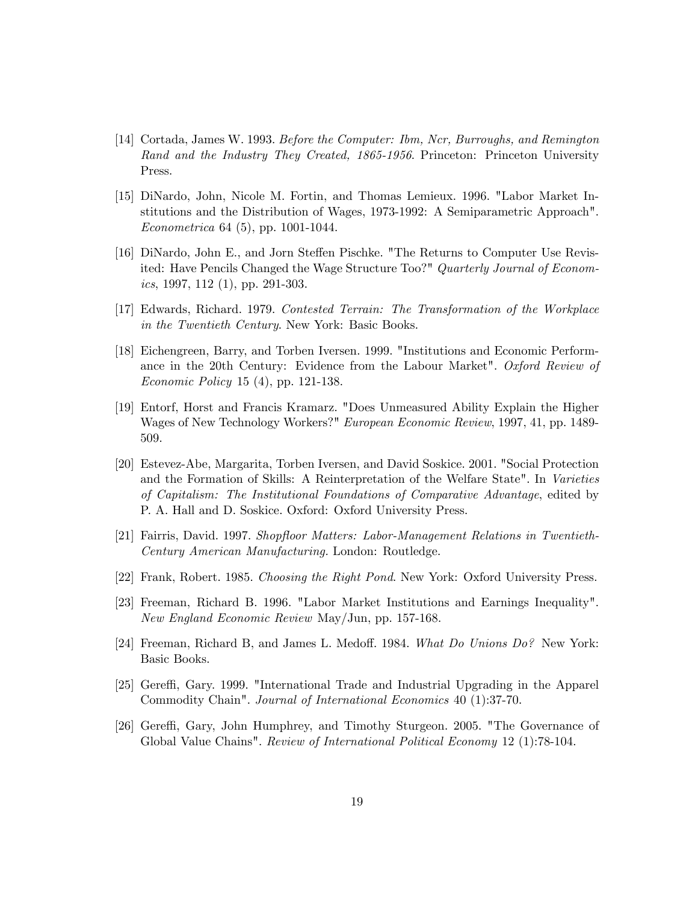- [14] Cortada, James W. 1993. Before the Computer: Ibm, Ncr, Burroughs, and Remington Rand and the Industry They Created, 1865-1956. Princeton: Princeton University Press.
- [15] DiNardo, John, Nicole M. Fortin, and Thomas Lemieux. 1996. "Labor Market Institutions and the Distribution of Wages, 1973-1992: A Semiparametric Approach". Econometrica 64 (5), pp. 1001-1044.
- [16] DiNardo, John E., and Jorn Steffen Pischke. "The Returns to Computer Use Revisited: Have Pencils Changed the Wage Structure Too?" Quarterly Journal of Economics, 1997, 112 (1), pp. 291-303.
- [17] Edwards, Richard. 1979. Contested Terrain: The Transformation of the Workplace in the Twentieth Century. New York: Basic Books.
- [18] Eichengreen, Barry, and Torben Iversen. 1999. "Institutions and Economic Performance in the 20th Century: Evidence from the Labour Market". Oxford Review of Economic Policy 15 (4), pp. 121-138.
- [19] Entorf, Horst and Francis Kramarz. "Does Unmeasured Ability Explain the Higher Wages of New Technology Workers?" European Economic Review, 1997, 41, pp. 1489- 509.
- [20] Estevez-Abe, Margarita, Torben Iversen, and David Soskice. 2001. "Social Protection and the Formation of Skills: A Reinterpretation of the Welfare State". In Varieties of Capitalism: The Institutional Foundations of Comparative Advantage, edited by P. A. Hall and D. Soskice. Oxford: Oxford University Press.
- [21] Fairris, David. 1997. Shopfloor Matters: Labor-Management Relations in Twentieth-Century American Manufacturing. London: Routledge.
- [22] Frank, Robert. 1985. Choosing the Right Pond. New York: Oxford University Press.
- [23] Freeman, Richard B. 1996. "Labor Market Institutions and Earnings Inequality". New England Economic Review May/Jun, pp. 157-168.
- [24] Freeman, Richard B, and James L. Medoff. 1984. What Do Unions  $Do?$  New York: Basic Books.
- [25] Gereffi, Gary. 1999. "International Trade and Industrial Upgrading in the Apparel Commodity Chain". Journal of International Economics 40 (1):37-70.
- [26] Gereffi, Gary, John Humphrey, and Timothy Sturgeon. 2005. "The Governance of Global Value Chains". Review of International Political Economy 12 (1):78-104.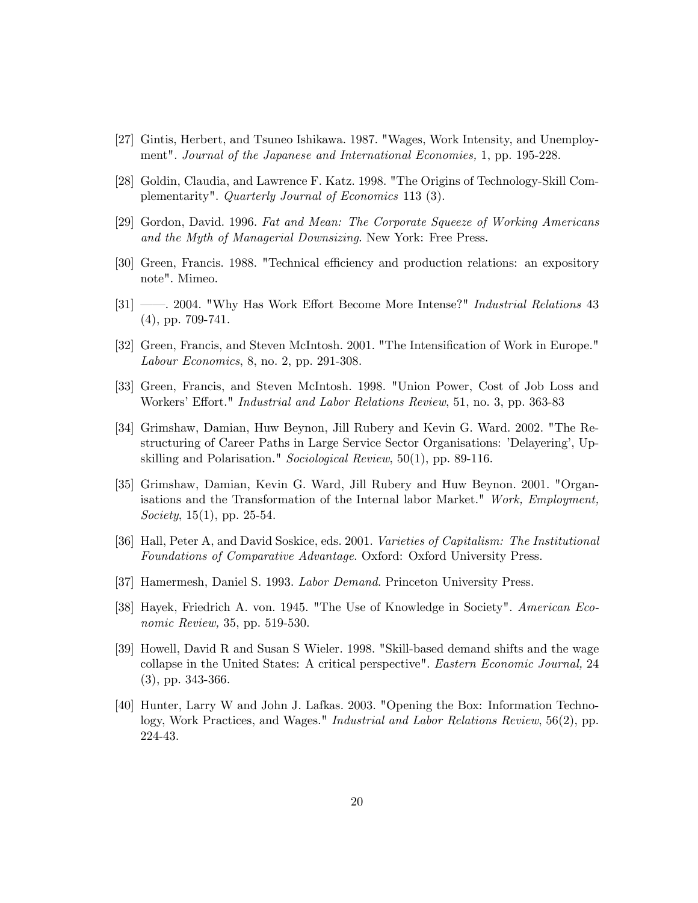- [27] Gintis, Herbert, and Tsuneo Ishikawa. 1987. "Wages, Work Intensity, and Unemployment". Journal of the Japanese and International Economies, 1, pp. 195-228.
- [28] Goldin, Claudia, and Lawrence F. Katz. 1998. "The Origins of Technology-Skill Complementarity". Quarterly Journal of Economics 113 (3).
- [29] Gordon, David. 1996. Fat and Mean: The Corporate Squeeze of Working Americans and the Myth of Managerial Downsizing. New York: Free Press.
- [30] Green, Francis. 1988. "Technical efficiency and production relations: an expository note". Mimeo.
- [31] <sup>31</sup> 2004. "Why Has Work Effort Become More Intense?" *Industrial Relations* 43 (4), pp. 709-741.
- [32] Green, Francis, and Steven McIntosh. 2001. "The Intensification of Work in Europe." Labour Economics, 8, no. 2, pp. 291-308.
- [33] Green, Francis, and Steven McIntosh. 1998. "Union Power, Cost of Job Loss and Workers' Effort." *Industrial and Labor Relations Review*, 51, no. 3, pp. 363-83
- [34] Grimshaw, Damian, Huw Beynon, Jill Rubery and Kevin G. Ward. 2002. "The Restructuring of Career Paths in Large Service Sector Organisations: 'Delayering', Upskilling and Polarisation." Sociological Review, 50(1), pp. 89-116.
- [35] Grimshaw, Damian, Kevin G. Ward, Jill Rubery and Huw Beynon. 2001. "Organisations and the Transformation of the Internal labor Market." Work, Employment, Society, 15(1), pp. 25-54.
- [36] Hall, Peter A, and David Soskice, eds. 2001. Varieties of Capitalism: The Institutional Foundations of Comparative Advantage. Oxford: Oxford University Press.
- [37] Hamermesh, Daniel S. 1993. Labor Demand. Princeton University Press.
- [38] Hayek, Friedrich A. von. 1945. "The Use of Knowledge in Society". American Economic Review, 35, pp. 519-530.
- [39] Howell, David R and Susan S Wieler. 1998. "Skill-based demand shifts and the wage collapse in the United States: A critical perspective". Eastern Economic Journal, 24 (3), pp. 343-366.
- [40] Hunter, Larry W and John J. Lafkas. 2003. "Opening the Box: Information Technology, Work Practices, and Wages." Industrial and Labor Relations Review, 56(2), pp. 224-43.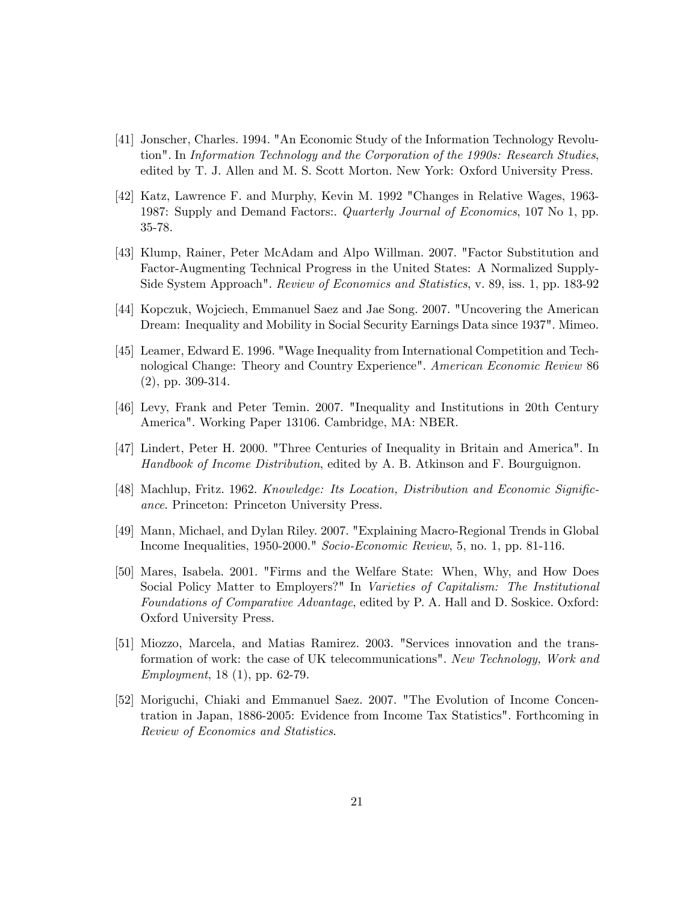- [41] Jonscher, Charles. 1994. "An Economic Study of the Information Technology Revolution". In Information Technology and the Corporation of the 1990s: Research Studies, edited by T. J. Allen and M. S. Scott Morton. New York: Oxford University Press.
- [42] Katz, Lawrence F. and Murphy, Kevin M. 1992 "Changes in Relative Wages, 1963- 1987: Supply and Demand Factors:. Quarterly Journal of Economics, 107 No 1, pp. 35-78.
- [43] Klump, Rainer, Peter McAdam and Alpo Willman. 2007. "Factor Substitution and Factor-Augmenting Technical Progress in the United States: A Normalized Supply-Side System Approach". Review of Economics and Statistics, v. 89, iss. 1, pp. 183-92
- [44] Kopczuk, Wojciech, Emmanuel Saez and Jae Song. 2007. "Uncovering the American Dream: Inequality and Mobility in Social Security Earnings Data since 1937". Mimeo.
- [45] Leamer, Edward E. 1996. "Wage Inequality from International Competition and Technological Change: Theory and Country Experience". American Economic Review 86 (2), pp. 309-314.
- [46] Levy, Frank and Peter Temin. 2007. "Inequality and Institutions in 20th Century America". Working Paper 13106. Cambridge, MA: NBER.
- [47] Lindert, Peter H. 2000. "Three Centuries of Inequality in Britain and America". In Handbook of Income Distribution, edited by A. B. Atkinson and F. Bourguignon.
- [48] Machlup, Fritz. 1962. Knowledge: Its Location, Distribution and Economic Significance. Princeton: Princeton University Press.
- [49] Mann, Michael, and Dylan Riley. 2007. "Explaining Macro-Regional Trends in Global Income Inequalities, 1950-2000." Socio-Economic Review, 5, no. 1, pp. 81-116.
- [50] Mares, Isabela. 2001. "Firms and the Welfare State: When, Why, and How Does Social Policy Matter to Employers?" In Varieties of Capitalism: The Institutional Foundations of Comparative Advantage, edited by P. A. Hall and D. Soskice. Oxford: Oxford University Press.
- [51] Miozzo, Marcela, and Matias Ramirez. 2003. "Services innovation and the transformation of work: the case of UK telecommunications". New Technology, Work and Employment, 18 (1), pp. 62-79.
- [52] Moriguchi, Chiaki and Emmanuel Saez. 2007. "The Evolution of Income Concentration in Japan, 1886-2005: Evidence from Income Tax Statistics". Forthcoming in Review of Economics and Statistics.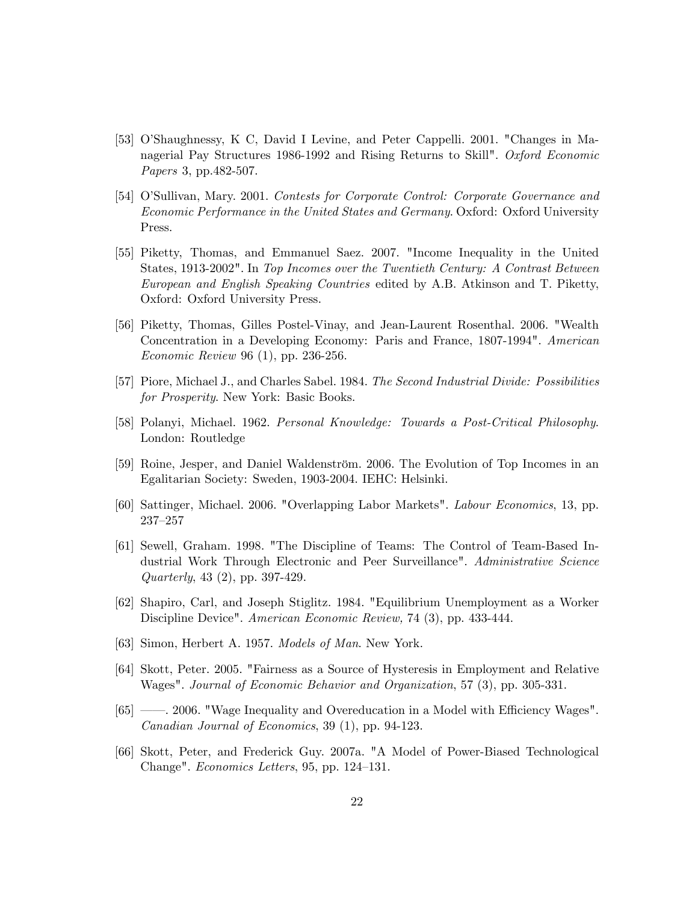- [53] O'Shaughnessy, K C, David I Levine, and Peter Cappelli. 2001. "Changes in Managerial Pay Structures 1986-1992 and Rising Returns to Skill". Oxford Economic Papers 3, pp.482-507.
- [54] O'Sullivan, Mary. 2001. Contests for Corporate Control: Corporate Governance and Economic Performance in the United States and Germany. Oxford: Oxford University Press.
- [55] Piketty, Thomas, and Emmanuel Saez. 2007. "Income Inequality in the United States, 1913-2002". In Top Incomes over the Twentieth Century: A Contrast Between European and English Speaking Countries edited by A.B. Atkinson and T. Piketty, Oxford: Oxford University Press.
- [56] Piketty, Thomas, Gilles Postel-Vinay, and Jean-Laurent Rosenthal. 2006. "Wealth Concentration in a Developing Economy: Paris and France, 1807-1994". American Economic Review 96 (1), pp. 236-256.
- [57] Piore, Michael J., and Charles Sabel. 1984. The Second Industrial Divide: Possibilities for Prosperity. New York: Basic Books.
- [58] Polanyi, Michael. 1962. Personal Knowledge: Towards a Post-Critical Philosophy. London: Routledge
- [59] Roine, Jesper, and Daniel Waldenström. 2006. The Evolution of Top Incomes in an Egalitarian Society: Sweden, 1903-2004. IEHC: Helsinki.
- [60] Sattinger, Michael. 2006. "Overlapping Labor Markets". Labour Economics, 13, pp.  $237 - 257$
- [61] Sewell, Graham. 1998. "The Discipline of Teams: The Control of Team-Based Industrial Work Through Electronic and Peer Surveillance". Administrative Science Quarterly, 43 (2), pp. 397-429.
- [62] Shapiro, Carl, and Joseph Stiglitz. 1984. "Equilibrium Unemployment as a Worker Discipline Device". American Economic Review, 74 (3), pp. 433-444.
- [63] Simon, Herbert A. 1957. Models of Man. New York.
- [64] Skott, Peter. 2005. "Fairness as a Source of Hysteresis in Employment and Relative Wages". Journal of Economic Behavior and Organization, 57 (3), pp. 305-331.
- [65] <sup>*n*</sup> = 2006. "Wage Inequality and Overeducation in a Model with Efficiency Wages". Canadian Journal of Economics, 39 (1), pp. 94-123.
- [66] Skott, Peter, and Frederick Guy. 2007a. "A Model of Power-Biased Technological Change". *Economics Letters*, 95, pp.  $124-131$ .